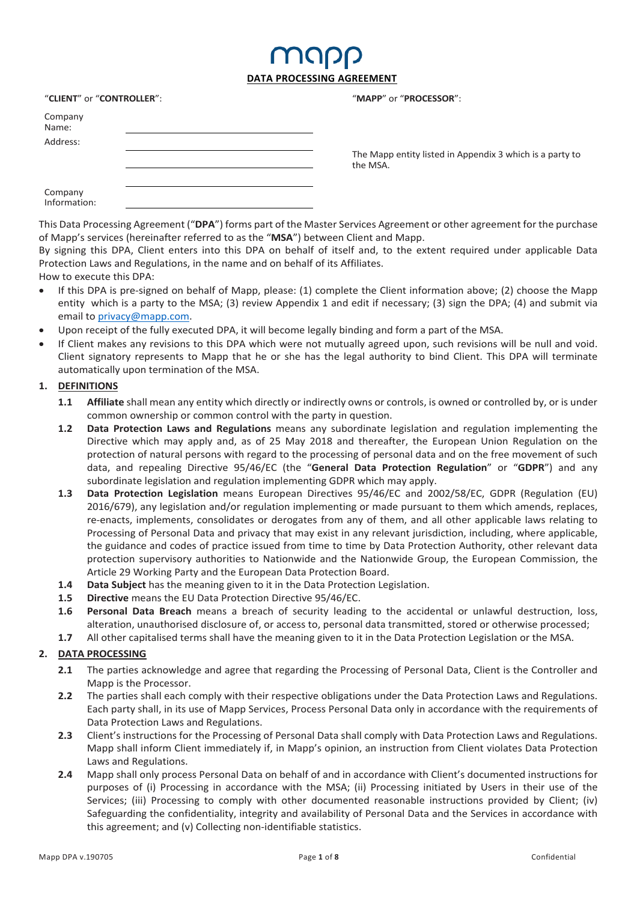### map **DATA PROCESSING AGREEMENT**

| "CLIENT" or "CONTROLLER": |  |  |  |  |
|---------------------------|--|--|--|--|
| Company<br>Name:          |  |  |  |  |
| Address:                  |  |  |  |  |
| Company<br>Information:   |  |  |  |  |

"**MAPP**" or "**PROCESSOR**":

the MSA.

The Mapp entity listed in Appendix 3 which is a party to

This Data Processing Agreement ("**DPA**") forms part of the Master Services Agreement or other agreement for the purchase of Mapp's services (hereinafter referred to as the "**MSA**") between Client and Mapp.

By signing this DPA, Client enters into this DPA on behalf of itself and, to the extent required under applicable Data Protection Laws and Regulations, in the name and on behalf of its Affiliates.

#### How to execute this DPA:

- If this DPA is pre-signed on behalf of Mapp, please: (1) complete the Client information above; (2) choose the Mapp entity which is a party to the MSA; (3) review Appendix 1 and edit if necessary; (3) sign the DPA; (4) and submit via email to privacy@mapp.com.
- Upon receipt of the fully executed DPA, it will become legally binding and form a part of the MSA.
- If Client makes any revisions to this DPA which were not mutually agreed upon, such revisions will be null and void. Client signatory represents to Mapp that he or she has the legal authority to bind Client. This DPA will terminate automatically upon termination of the MSA.

#### **1. DEFINITIONS**

- **1.1** Affiliate shall mean any entity which directly or indirectly owns or controls, is owned or controlled by, or is under common ownership or common control with the party in question.
- **1.2 Data Protection Laws and Regulations** means any subordinate legislation and regulation implementing the Directive which may apply and, as of 25 May 2018 and thereafter, the European Union Regulation on the protection of natural persons with regard to the processing of personal data and on the free movement of such data, and repealing Directive 95/46/EC (the "**General Data Protection Regulation**" or "**GDPR**") and any subordinate legislation and regulation implementing GDPR which may apply.
- **1.3 Data Protection Legislation** means European Directives 95/46/EC and 2002/58/EC, GDPR (Regulation (EU) 2016/679), any legislation and/or regulation implementing or made pursuant to them which amends, replaces, re-enacts, implements, consolidates or derogates from any of them, and all other applicable laws relating to Processing of Personal Data and privacy that may exist in any relevant jurisdiction, including, where applicable, the guidance and codes of practice issued from time to time by Data Protection Authority, other relevant data protection supervisory authorities to Nationwide and the Nationwide Group, the European Commission, the Article 29 Working Party and the European Data Protection Board.
- **1.4 Data Subject** has the meaning given to it in the Data Protection Legislation.
- **1.5 Directive** means the EU Data Protection Directive 95/46/EC.
- **1.6 Personal Data Breach** means a breach of security leading to the accidental or unlawful destruction, loss, alteration, unauthorised disclosure of, or access to, personal data transmitted, stored or otherwise processed;
- **1.7** All other capitalised terms shall have the meaning given to it in the Data Protection Legislation or the MSA.

#### **2. DATA PROCESSING**

- **2.1** The parties acknowledge and agree that regarding the Processing of Personal Data, Client is the Controller and Mapp is the Processor.
- **2.2** The parties shall each comply with their respective obligations under the Data Protection Laws and Regulations. Each party shall, in its use of Mapp Services, Process Personal Data only in accordance with the requirements of Data Protection Laws and Regulations.
- **2.3** Client's instructions for the Processing of Personal Data shall comply with Data Protection Laws and Regulations. Mapp shall inform Client immediately if, in Mapp's opinion, an instruction from Client violates Data Protection Laws and Regulations.
- **2.4** Mapp shall only process Personal Data on behalf of and in accordance with Client's documented instructions for purposes of (i) Processing in accordance with the MSA; (ii) Processing initiated by Users in their use of the Services; (iii) Processing to comply with other documented reasonable instructions provided by Client; (iv) Safeguarding the confidentiality, integrity and availability of Personal Data and the Services in accordance with this agreement; and (v) Collecting non-identifiable statistics.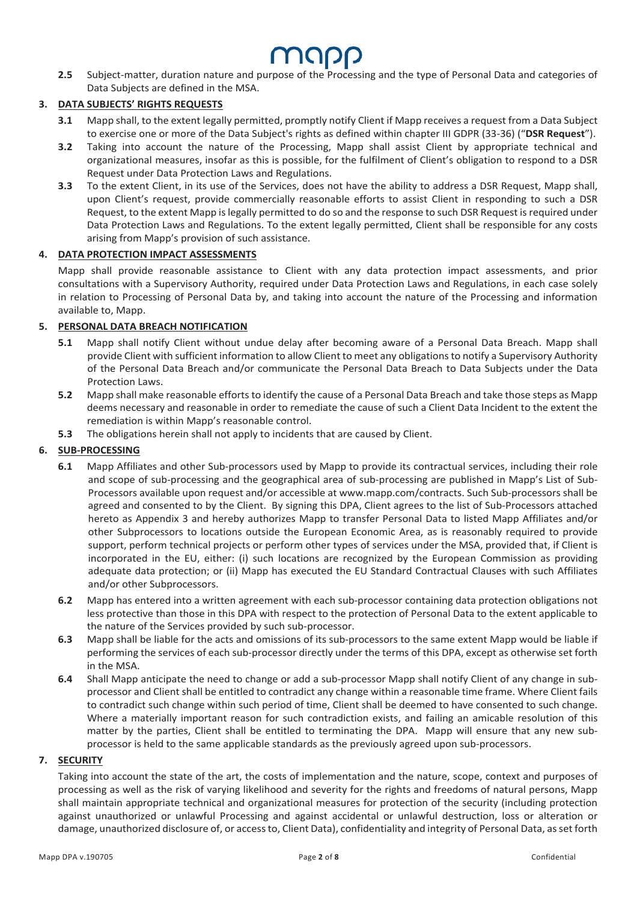## MUUD

**2.5** Subject-matter, duration nature and purpose of the Processing and the type of Personal Data and categories of Data Subjects are defined in the MSA.

#### **3. DATA SUBJECTS' RIGHTS REQUESTS**

- **3.1** Mapp shall, to the extent legally permitted, promptly notify Client if Mapp receives a request from a Data Subject to exercise one or more of the Data Subject's rights as defined within chapter III GDPR (33-36) ("**DSR Request**").
- **3.2** Taking into account the nature of the Processing, Mapp shall assist Client by appropriate technical and organizational measures, insofar as this is possible, for the fulfilment of Client's obligation to respond to a DSR Request under Data Protection Laws and Regulations.
- **3.3** To the extent Client, in its use of the Services, does not have the ability to address a DSR Request, Mapp shall, upon Client's request, provide commercially reasonable efforts to assist Client in responding to such a DSR Request, to the extent Mapp is legally permitted to do so and the response to such DSR Request is required under Data Protection Laws and Regulations. To the extent legally permitted, Client shall be responsible for any costs arising from Mapp's provision of such assistance.

#### **4. DATA PROTECTION IMPACT ASSESSMENTS**

Mapp shall provide reasonable assistance to Client with any data protection impact assessments, and prior consultations with a Supervisory Authority, required under Data Protection Laws and Regulations, in each case solely in relation to Processing of Personal Data by, and taking into account the nature of the Processing and information available to, Mapp.

#### **5. PERSONAL DATA BREACH NOTIFICATION**

- **5.1** Mapp shall notify Client without undue delay after becoming aware of a Personal Data Breach. Mapp shall provide Client with sufficient information to allow Client to meet any obligations to notify a Supervisory Authority of the Personal Data Breach and/or communicate the Personal Data Breach to Data Subjects under the Data Protection Laws.
- **5.2** Mapp shall make reasonable efforts to identify the cause of a Personal Data Breach and take those steps as Mapp deems necessary and reasonable in order to remediate the cause of such a Client Data Incident to the extent the remediation is within Mapp's reasonable control.
- **5.3** The obligations herein shall not apply to incidents that are caused by Client.

#### **6. SUB-PROCESSING**

- **6.1** Mapp Affiliates and other Sub-processors used by Mapp to provide its contractual services, including their role and scope of sub-processing and the geographical area of sub-processing are published in Mapp's List of Sub-Processors available upon request and/or accessible at www.mapp.com/contracts. Such Sub-processors shall be agreed and consented to by the Client. By signing this DPA, Client agrees to the list of Sub-Processors attached hereto as Appendix 3 and hereby authorizes Mapp to transfer Personal Data to listed Mapp Affiliates and/or other Subprocessors to locations outside the European Economic Area, as is reasonably required to provide support, perform technical projects or perform other types of services under the MSA, provided that, if Client is incorporated in the EU, either: (i) such locations are recognized by the European Commission as providing adequate data protection; or (ii) Mapp has executed the EU Standard Contractual Clauses with such Affiliates and/or other Subprocessors.
- **6.2** Mapp has entered into a written agreement with each sub-processor containing data protection obligations not less protective than those in this DPA with respect to the protection of Personal Data to the extent applicable to the nature of the Services provided by such sub-processor.
- **6.3** Mapp shall be liable for the acts and omissions of its sub-processors to the same extent Mapp would be liable if performing the services of each sub-processor directly under the terms of this DPA, except as otherwise set forth in the MSA.
- **6.4** Shall Mapp anticipate the need to change or add a sub-processor Mapp shall notify Client of any change in subprocessor and Client shall be entitled to contradict any change within a reasonable time frame. Where Client fails to contradict such change within such period of time, Client shall be deemed to have consented to such change. Where a materially important reason for such contradiction exists, and failing an amicable resolution of this matter by the parties, Client shall be entitled to terminating the DPA. Mapp will ensure that any new subprocessor is held to the same applicable standards as the previously agreed upon sub-processors.

#### **7. SECURITY**

Taking into account the state of the art, the costs of implementation and the nature, scope, context and purposes of processing as well as the risk of varying likelihood and severity for the rights and freedoms of natural persons, Mapp shall maintain appropriate technical and organizational measures for protection of the security (including protection against unauthorized or unlawful Processing and against accidental or unlawful destruction, loss or alteration or damage, unauthorized disclosure of, or access to, Client Data), confidentiality and integrity of Personal Data, as set forth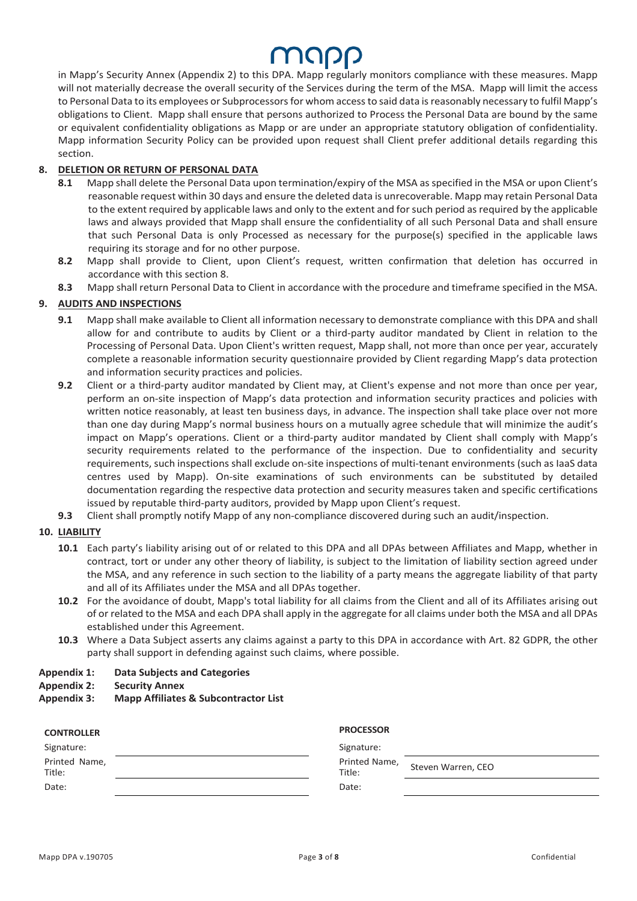## MAPP

in Mapp's Security Annex (Appendix 2) to this DPA. Mapp regularly monitors compliance with these measures. Mapp will not materially decrease the overall security of the Services during the term of the MSA. Mapp will limit the access to Personal Data to its employees or Subprocessors for whom access to said data is reasonably necessary to fulfil Mapp's obligations to Client. Mapp shall ensure that persons authorized to Process the Personal Data are bound by the same or equivalent confidentiality obligations as Mapp or are under an appropriate statutory obligation of confidentiality. Mapp information Security Policy can be provided upon request shall Client prefer additional details regarding this section.

#### **8. DELETION OR RETURN OF PERSONAL DATA**

- **8.1** Mapp shall delete the Personal Data upon termination/expiry of the MSA as specified in the MSA or upon Client's reasonable request within 30 days and ensure the deleted data is unrecoverable. Mapp may retain Personal Data to the extent required by applicable laws and only to the extent and for such period as required by the applicable laws and always provided that Mapp shall ensure the confidentiality of all such Personal Data and shall ensure that such Personal Data is only Processed as necessary for the purpose(s) specified in the applicable laws requiring its storage and for no other purpose.
- **8.2** Mapp shall provide to Client, upon Client's request, written confirmation that deletion has occurred in accordance with this section 8.
- **8.3** Mapp shall return Personal Data to Client in accordance with the procedure and timeframe specified in the MSA.

#### **9. AUDITS AND INSPECTIONS**

- **9.1** Mapp shall make available to Client all information necessary to demonstrate compliance with this DPA and shall allow for and contribute to audits by Client or a third-party auditor mandated by Client in relation to the Processing of Personal Data. Upon Client's written request, Mapp shall, not more than once per year, accurately complete a reasonable information security questionnaire provided by Client regarding Mapp's data protection and information security practices and policies.
- **9.2** Client or a third-party auditor mandated by Client may, at Client's expense and not more than once per year, perform an on-site inspection of Mapp's data protection and information security practices and policies with written notice reasonably, at least ten business days, in advance. The inspection shall take place over not more than one day during Mapp's normal business hours on a mutually agree schedule that will minimize the audit's impact on Mapp's operations. Client or a third-party auditor mandated by Client shall comply with Mapp's security requirements related to the performance of the inspection. Due to confidentiality and security requirements, such inspections shall exclude on-site inspections of multi-tenant environments (such as IaaS data centres used by Mapp). On-site examinations of such environments can be substituted by detailed documentation regarding the respective data protection and security measures taken and specific certifications issued by reputable third-party auditors, provided by Mapp upon Client's request.
- **9.3** Client shall promptly notify Mapp of any non-compliance discovered during such an audit/inspection.

#### **10. LIABILITY**

- **10.1** Each party's liability arising out of or related to this DPA and all DPAs between Affiliates and Mapp, whether in contract, tort or under any other theory of liability, is subject to the limitation of liability section agreed under the MSA, and any reference in such section to the liability of a party means the aggregate liability of that party and all of its Affiliates under the MSA and all DPAs together.
- **10.2** For the avoidance of doubt, Mapp's total liability for all claims from the Client and all of its Affiliates arising out of or related to the MSA and each DPA shall apply in the aggregate for all claims under both the MSA and all DPAs established under this Agreement.
- **10.3** Where a Data Subject asserts any claims against a party to this DPA in accordance with Art. 82 GDPR, the other party shall support in defending against such claims, where possible.

#### **Appendix 1: Data Subjects and Categories**

#### **Appendix 2: Security Annex**

#### **Appendix 3: Mapp Affiliates & Subcontractor List**

| <b>CONTROLLER</b>       | <b>PROCESSOR</b>                              |
|-------------------------|-----------------------------------------------|
| Signature:              | Signature:                                    |
| Printed Name,<br>Title: | Printed Name,<br>Steven Warren, CEO<br>Title: |
| Date:                   | Date:                                         |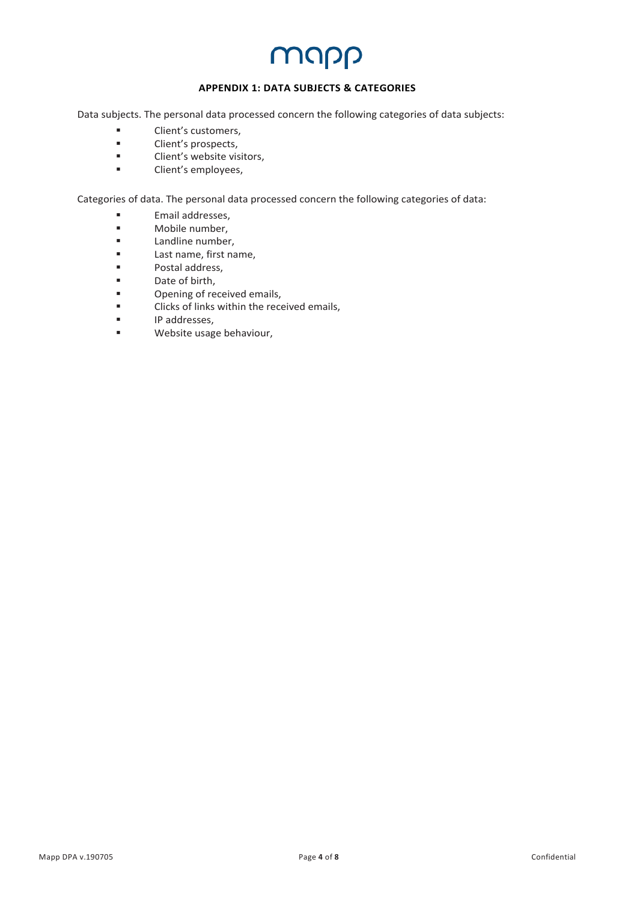### MUDD

#### **APPENDIX 1: DATA SUBJECTS & CATEGORIES**

Data subjects. The personal data processed concern the following categories of data subjects:

- Client's customers,
- Client's prospects,
- Client's website visitors,
- Client's employees,

Categories of data. The personal data processed concern the following categories of data:

- Email addresses,
- Mobile number,<br>■ landline number
- Landline number,
- Last name, first name,
- Postal address,<br>■ Date of birth
- Date of birth,
- Opening of received emails,
- Clicks of links within the received emails,
- IP addresses,
- § Website usage behaviour,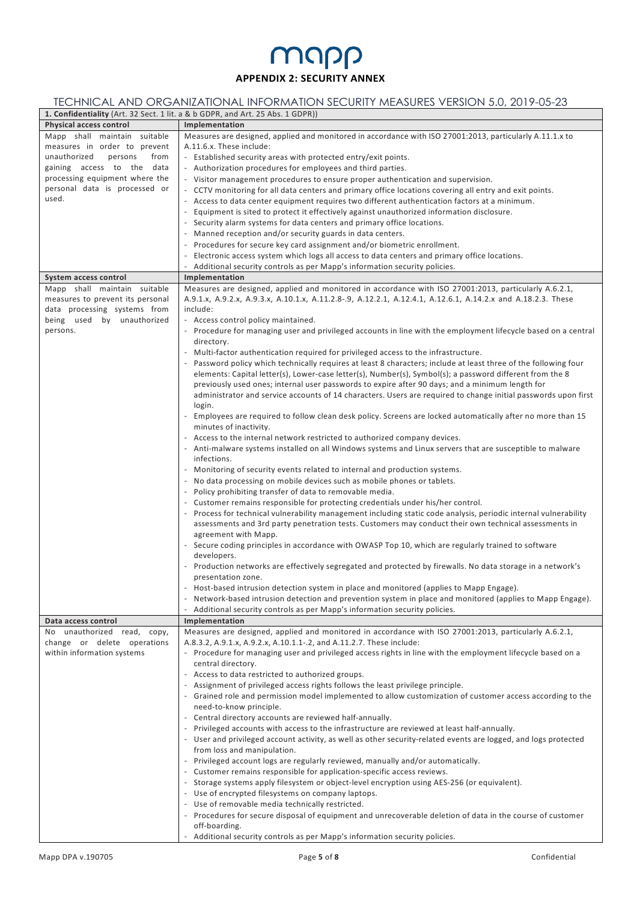### MUDD **APPENDIX 2: SECURITY ANNEX**

#### TECHNICAL AND ORGANIZATIONAL INFORMATION SECURITY MEASURES VERSION 5.0, 2019-05-23

| 1. Confidentiality (Art. 32 Sect. 1 lit. a & b GDPR, and Art. 25 Abs. 1 GDPR)) |                                                                                                                                                                                                      |  |  |  |
|--------------------------------------------------------------------------------|------------------------------------------------------------------------------------------------------------------------------------------------------------------------------------------------------|--|--|--|
| Physical access control                                                        | Implementation                                                                                                                                                                                       |  |  |  |
| Mapp shall maintain suitable                                                   | Measures are designed, applied and monitored in accordance with ISO 27001:2013, particularly A.11.1.x to                                                                                             |  |  |  |
| measures in order to prevent                                                   | A.11.6.x. These include:                                                                                                                                                                             |  |  |  |
| from<br>unauthorized<br>persons                                                | - Established security areas with protected entry/exit points.                                                                                                                                       |  |  |  |
| gaining access to the data                                                     | - Authorization procedures for employees and third parties.                                                                                                                                          |  |  |  |
| processing equipment where the                                                 | - Visitor management procedures to ensure proper authentication and supervision.                                                                                                                     |  |  |  |
| personal data is processed or                                                  | - CCTV monitoring for all data centers and primary office locations covering all entry and exit points.                                                                                              |  |  |  |
| used.                                                                          | - Access to data center equipment requires two different authentication factors at a minimum.                                                                                                        |  |  |  |
|                                                                                | - Equipment is sited to protect it effectively against unauthorized information disclosure.                                                                                                          |  |  |  |
|                                                                                | - Security alarm systems for data centers and primary office locations.                                                                                                                              |  |  |  |
|                                                                                | - Manned reception and/or security guards in data centers.                                                                                                                                           |  |  |  |
|                                                                                | - Procedures for secure key card assignment and/or biometric enrollment.                                                                                                                             |  |  |  |
|                                                                                | - Electronic access system which logs all access to data centers and primary office locations.                                                                                                       |  |  |  |
|                                                                                | - Additional security controls as per Mapp's information security policies.                                                                                                                          |  |  |  |
| System access control                                                          | Implementation                                                                                                                                                                                       |  |  |  |
| Mapp shall maintain suitable                                                   | Measures are designed, applied and monitored in accordance with ISO 27001:2013, particularly A.6.2.1,                                                                                                |  |  |  |
| measures to prevent its personal                                               | A.9.1.x, A.9.2.x, A.9.3.x, A.10.1.x, A.11.2.8-.9, A.12.2.1, A.12.4.1, A.12.6.1, A.14.2.x and A.18.2.3. These                                                                                         |  |  |  |
| data processing systems from                                                   | include:                                                                                                                                                                                             |  |  |  |
| being used by unauthorized                                                     | - Access control policy maintained.                                                                                                                                                                  |  |  |  |
| persons.                                                                       | - Procedure for managing user and privileged accounts in line with the employment lifecycle based on a central                                                                                       |  |  |  |
|                                                                                | directory.                                                                                                                                                                                           |  |  |  |
|                                                                                | - Multi-factor authentication required for privileged access to the infrastructure.                                                                                                                  |  |  |  |
|                                                                                | - Password policy which technically requires at least 8 characters; include at least three of the following four                                                                                     |  |  |  |
|                                                                                | elements: Capital letter(s), Lower-case letter(s), Number(s), Symbol(s); a password different from the 8                                                                                             |  |  |  |
|                                                                                | previously used ones; internal user passwords to expire after 90 days; and a minimum length for                                                                                                      |  |  |  |
|                                                                                | administrator and service accounts of 14 characters. Users are required to change initial passwords upon first                                                                                       |  |  |  |
|                                                                                | login.                                                                                                                                                                                               |  |  |  |
|                                                                                | - Employees are required to follow clean desk policy. Screens are locked automatically after no more than 15                                                                                         |  |  |  |
|                                                                                | minutes of inactivity.                                                                                                                                                                               |  |  |  |
|                                                                                | - Access to the internal network restricted to authorized company devices.                                                                                                                           |  |  |  |
|                                                                                | - Anti-malware systems installed on all Windows systems and Linux servers that are susceptible to malware<br>infections.                                                                             |  |  |  |
|                                                                                |                                                                                                                                                                                                      |  |  |  |
|                                                                                | - Monitoring of security events related to internal and production systems.                                                                                                                          |  |  |  |
|                                                                                | - No data processing on mobile devices such as mobile phones or tablets.                                                                                                                             |  |  |  |
|                                                                                | - Policy prohibiting transfer of data to removable media.                                                                                                                                            |  |  |  |
|                                                                                | - Customer remains responsible for protecting credentials under his/her control.<br>- Process for technical vulnerability management including static code analysis, periodic internal vulnerability |  |  |  |
|                                                                                | assessments and 3rd party penetration tests. Customers may conduct their own technical assessments in                                                                                                |  |  |  |
|                                                                                | agreement with Mapp.                                                                                                                                                                                 |  |  |  |
|                                                                                | - Secure coding principles in accordance with OWASP Top 10, which are regularly trained to software                                                                                                  |  |  |  |
|                                                                                | developers.                                                                                                                                                                                          |  |  |  |
|                                                                                | Production networks are effectively segregated and protected by firewalls. No data storage in a network's                                                                                            |  |  |  |
|                                                                                | presentation zone.                                                                                                                                                                                   |  |  |  |
|                                                                                | Host-based intrusion detection system in place and monitored (applies to Mapp Engage).                                                                                                               |  |  |  |
|                                                                                | Network-based intrusion detection and prevention system in place and monitored (applies to Mapp Engage).                                                                                             |  |  |  |
|                                                                                | - Additional security controls as per Mapp's information security policies.                                                                                                                          |  |  |  |
| Data access control                                                            | Implementation                                                                                                                                                                                       |  |  |  |
| No unauthorized read, copy,                                                    | Measures are designed, applied and monitored in accordance with ISO 27001:2013, particularly A.6.2.1,                                                                                                |  |  |  |
| change or delete operations                                                    | A.8.3.2, A.9.1.x, A.9.2.x, A.10.1.1-.2, and A.11.2.7. These include:                                                                                                                                 |  |  |  |
| within information systems                                                     | - Procedure for managing user and privileged access rights in line with the employment lifecycle based on a                                                                                          |  |  |  |
|                                                                                | central directory.                                                                                                                                                                                   |  |  |  |
|                                                                                | - Access to data restricted to authorized groups.                                                                                                                                                    |  |  |  |
|                                                                                | - Assignment of privileged access rights follows the least privilege principle.                                                                                                                      |  |  |  |
|                                                                                | - Grained role and permission model implemented to allow customization of customer access according to the                                                                                           |  |  |  |
|                                                                                | need-to-know principle.                                                                                                                                                                              |  |  |  |
|                                                                                | - Central directory accounts are reviewed half-annually.                                                                                                                                             |  |  |  |
|                                                                                | - Privileged accounts with access to the infrastructure are reviewed at least half-annually.                                                                                                         |  |  |  |
|                                                                                | - User and privileged account activity, as well as other security-related events are logged, and logs protected                                                                                      |  |  |  |
|                                                                                | from loss and manipulation.                                                                                                                                                                          |  |  |  |
|                                                                                | - Privileged account logs are regularly reviewed, manually and/or automatically.                                                                                                                     |  |  |  |
|                                                                                | - Customer remains responsible for application-specific access reviews.                                                                                                                              |  |  |  |
|                                                                                | - Storage systems apply filesystem or object-level encryption using AES-256 (or equivalent).                                                                                                         |  |  |  |
|                                                                                | - Use of encrypted filesystems on company laptops.                                                                                                                                                   |  |  |  |
|                                                                                | - Use of removable media technically restricted.                                                                                                                                                     |  |  |  |
|                                                                                | - Procedures for secure disposal of equipment and unrecoverable deletion of data in the course of customer                                                                                           |  |  |  |
|                                                                                | off-boarding.                                                                                                                                                                                        |  |  |  |
|                                                                                | Additional security controls as per Mapp's information security policies.                                                                                                                            |  |  |  |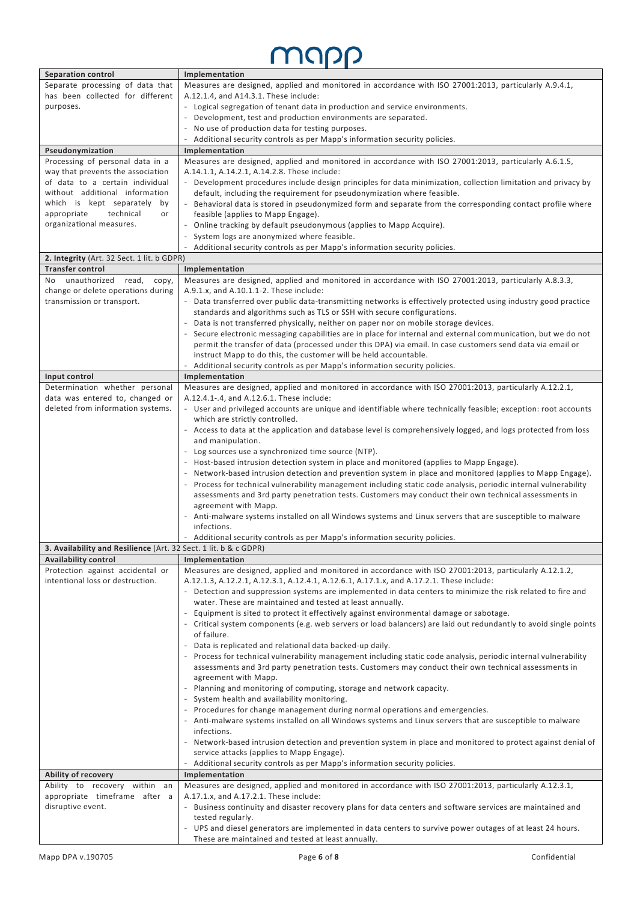#### map D

| has been collected for different<br>A.12.1.4, and A14.3.1. These include:<br>purposes.<br>- Logical segregation of tenant data in production and service environments.<br>- Development, test and production environments are separated.<br>No use of production data for testing purposes.<br>$\overline{\phantom{a}}$<br>Additional security controls as per Mapp's information security policies.<br>$\overline{\phantom{a}}$<br>Pseudonymization<br>Implementation<br>Processing of personal data in a<br>Measures are designed, applied and monitored in accordance with ISO 27001:2013, particularly A.6.1.5,<br>way that prevents the association<br>A.14.1.1, A.14.2.1, A.14.2.8. These include:<br>of data to a certain individual<br>- Development procedures include design principles for data minimization, collection limitation and privacy by<br>without additional information<br>default, including the requirement for pseudonymization where feasible.<br>which is kept separately by<br>- Behavioral data is stored in pseudonymized form and separate from the corresponding contact profile where<br>appropriate<br>technical<br>feasible (applies to Mapp Engage).<br>or<br>organizational measures.<br>Online tracking by default pseudonymous (applies to Mapp Acquire).<br>System logs are anonymized where feasible.<br>Additional security controls as per Mapp's information security policies.<br>2. Integrity (Art. 32 Sect. 1 lit. b GDPR)<br><b>Transfer control</b><br>Implementation<br>unauthorized read,<br>Measures are designed, applied and monitored in accordance with ISO 27001:2013, particularly A.8.3.3,<br>No.<br>copy,<br>change or delete operations during<br>A.9.1.x, and A.10.1.1-2. These include:<br>transmission or transport.<br>- Data transferred over public data-transmitting networks is effectively protected using industry good practice<br>standards and algorithms such as TLS or SSH with secure configurations.<br>- Data is not transferred physically, neither on paper nor on mobile storage devices.<br>Secure electronic messaging capabilities are in place for internal and external communication, but we do not<br>permit the transfer of data (processed under this DPA) via email. In case customers send data via email or<br>instruct Mapp to do this, the customer will be held accountable.<br>Additional security controls as per Mapp's information security policies.<br>Input control<br>Implementation<br>Measures are designed, applied and monitored in accordance with ISO 27001:2013, particularly A.12.2.1,<br>Determination whether personal<br>data was entered to, changed or<br>A.12.4.1-.4, and A.12.6.1. These include:<br>- User and privileged accounts are unique and identifiable where technically feasible; exception: root accounts<br>deleted from information systems.<br>which are strictly controlled.<br>- Access to data at the application and database level is comprehensively logged, and logs protected from loss<br>and manipulation.<br>- Log sources use a synchronized time source (NTP).<br>Host-based intrusion detection system in place and monitored (applies to Mapp Engage).<br>Network-based intrusion detection and prevention system in place and monitored (applies to Mapp Engage).<br>- Process for technical vulnerability management including static code analysis, periodic internal vulnerability<br>assessments and 3rd party penetration tests. Customers may conduct their own technical assessments in<br>agreement with Mapp.<br>- Anti-malware systems installed on all Windows systems and Linux servers that are susceptible to malware<br>infections.<br>- Additional security controls as per Mapp's information security policies.<br>3. Availability and Resilience (Art. 32 Sect. 1 lit. b & c GDPR)<br><b>Availability control</b><br>Implementation<br>Measures are designed, applied and monitored in accordance with ISO 27001:2013, particularly A.12.1.2,<br>Protection against accidental or<br>intentional loss or destruction.<br>A.12.1.3, A.12.2.1, A.12.3.1, A.12.4.1, A.12.6.1, A.17.1.x, and A.17.2.1. These include:<br>- Detection and suppression systems are implemented in data centers to minimize the risk related to fire and<br>water. These are maintained and tested at least annually.<br>- Equipment is sited to protect it effectively against environmental damage or sabotage.<br>- Critical system components (e.g. web servers or load balancers) are laid out redundantly to avoid single points<br>of failure.<br>- Data is replicated and relational data backed-up daily.<br>- Process for technical vulnerability management including static code analysis, periodic internal vulnerability<br>assessments and 3rd party penetration tests. Customers may conduct their own technical assessments in<br>agreement with Mapp.<br>- Planning and monitoring of computing, storage and network capacity.<br>- System health and availability monitoring.<br>- Procedures for change management during normal operations and emergencies.<br>- Anti-malware systems installed on all Windows systems and Linux servers that are susceptible to malware<br>infections.<br>- Network-based intrusion detection and prevention system in place and monitored to protect against denial of<br>service attacks (applies to Mapp Engage).<br>Additional security controls as per Mapp's information security policies.<br>Ability of recovery<br>Implementation<br>Measures are designed, applied and monitored in accordance with ISO 27001:2013, particularly A.12.3.1,<br>Ability to recovery within an<br>appropriate timeframe after a<br>A.17.1.x, and A.17.2.1. These include:<br>disruptive event.<br>- Business continuity and disaster recovery plans for data centers and software services are maintained and<br>tested regularly.<br>- UPS and diesel generators are implemented in data centers to survive power outages of at least 24 hours.<br>These are maintained and tested at least annually. | <b>Separation control</b>        | Implementation                                                                                        |  |  |
|---------------------------------------------------------------------------------------------------------------------------------------------------------------------------------------------------------------------------------------------------------------------------------------------------------------------------------------------------------------------------------------------------------------------------------------------------------------------------------------------------------------------------------------------------------------------------------------------------------------------------------------------------------------------------------------------------------------------------------------------------------------------------------------------------------------------------------------------------------------------------------------------------------------------------------------------------------------------------------------------------------------------------------------------------------------------------------------------------------------------------------------------------------------------------------------------------------------------------------------------------------------------------------------------------------------------------------------------------------------------------------------------------------------------------------------------------------------------------------------------------------------------------------------------------------------------------------------------------------------------------------------------------------------------------------------------------------------------------------------------------------------------------------------------------------------------------------------------------------------------------------------------------------------------------------------------------------------------------------------------------------------------------------------------------------------------------------------------------------------------------------------------------------------------------------------------------------------------------------------------------------------------------------------------------------------------------------------------------------------------------------------------------------------------------------------------------------------------------------------------------------------------------------------------------------------------------------------------------------------------------------------------------------------------------------------------------------------------------------------------------------------------------------------------------------------------------------------------------------------------------------------------------------------------------------------------------------------------------------------------------------------------------------------------------------------------------------------------------------------------------------------------------------------------------------------------------------------------------------------------------------------------------------------------------------------------------------------------------------------------------------------------------------------------------------------------------------------------------------------------------------------------------------------------------------------------------------------------------------------------------------------------------------------------------------------------------------------------------------------------------------------------------------------------------------------------------------------------------------------------------------------------------------------------------------------------------------------------------------------------------------------------------------------------------------------------------------------------------------------------------------------------------------------------------------------------------------------------------------------------------------------------------------------------------------------------------------------------------------------------------------------------------------------------------------------------------------------------------------------------------------------------------------------------------------------------------------------------------------------------------------------------------------------------------------------------------------------------------------------------------------------------------------------------------------------------------------------------------------------------------------------------------------------------------------------------------------------------------------------------------------------------------------------------------------------------------------------------------------------------------------------------------------------------------------------------------------------------------------------------------------------------------------------------------------------------------------------------------------------------------------------------------------------------------------------------------------------------------------------------------------------------------------------------------------------------------------------------------------------------------------------------------------------------------------------------------------------------------------------------------------------------------------------------------------------------------------------------------------------------------------------------------------------------------------------------------------------------------------------------------------------------------------------------------------------------------------------------------------|----------------------------------|-------------------------------------------------------------------------------------------------------|--|--|
|                                                                                                                                                                                                                                                                                                                                                                                                                                                                                                                                                                                                                                                                                                                                                                                                                                                                                                                                                                                                                                                                                                                                                                                                                                                                                                                                                                                                                                                                                                                                                                                                                                                                                                                                                                                                                                                                                                                                                                                                                                                                                                                                                                                                                                                                                                                                                                                                                                                                                                                                                                                                                                                                                                                                                                                                                                                                                                                                                                                                                                                                                                                                                                                                                                                                                                                                                                                                                                                                                                                                                                                                                                                                                                                                                                                                                                                                                                                                                                                                                                                                                                                                                                                                                                                                                                                                                                                                                                                                                                                                                                                                                                                                                                                                                                                                                                                                                                                                                                                                                                                                                                                                                                                                                                                                                                                                                                                                                                                                                                                                                                                                                                                                                                                                                                                                                                                                                                                                                                                                                                                                                                         | Separate processing of data that | Measures are designed, applied and monitored in accordance with ISO 27001:2013, particularly A.9.4.1, |  |  |
|                                                                                                                                                                                                                                                                                                                                                                                                                                                                                                                                                                                                                                                                                                                                                                                                                                                                                                                                                                                                                                                                                                                                                                                                                                                                                                                                                                                                                                                                                                                                                                                                                                                                                                                                                                                                                                                                                                                                                                                                                                                                                                                                                                                                                                                                                                                                                                                                                                                                                                                                                                                                                                                                                                                                                                                                                                                                                                                                                                                                                                                                                                                                                                                                                                                                                                                                                                                                                                                                                                                                                                                                                                                                                                                                                                                                                                                                                                                                                                                                                                                                                                                                                                                                                                                                                                                                                                                                                                                                                                                                                                                                                                                                                                                                                                                                                                                                                                                                                                                                                                                                                                                                                                                                                                                                                                                                                                                                                                                                                                                                                                                                                                                                                                                                                                                                                                                                                                                                                                                                                                                                                                         |                                  |                                                                                                       |  |  |
|                                                                                                                                                                                                                                                                                                                                                                                                                                                                                                                                                                                                                                                                                                                                                                                                                                                                                                                                                                                                                                                                                                                                                                                                                                                                                                                                                                                                                                                                                                                                                                                                                                                                                                                                                                                                                                                                                                                                                                                                                                                                                                                                                                                                                                                                                                                                                                                                                                                                                                                                                                                                                                                                                                                                                                                                                                                                                                                                                                                                                                                                                                                                                                                                                                                                                                                                                                                                                                                                                                                                                                                                                                                                                                                                                                                                                                                                                                                                                                                                                                                                                                                                                                                                                                                                                                                                                                                                                                                                                                                                                                                                                                                                                                                                                                                                                                                                                                                                                                                                                                                                                                                                                                                                                                                                                                                                                                                                                                                                                                                                                                                                                                                                                                                                                                                                                                                                                                                                                                                                                                                                                                         |                                  |                                                                                                       |  |  |
|                                                                                                                                                                                                                                                                                                                                                                                                                                                                                                                                                                                                                                                                                                                                                                                                                                                                                                                                                                                                                                                                                                                                                                                                                                                                                                                                                                                                                                                                                                                                                                                                                                                                                                                                                                                                                                                                                                                                                                                                                                                                                                                                                                                                                                                                                                                                                                                                                                                                                                                                                                                                                                                                                                                                                                                                                                                                                                                                                                                                                                                                                                                                                                                                                                                                                                                                                                                                                                                                                                                                                                                                                                                                                                                                                                                                                                                                                                                                                                                                                                                                                                                                                                                                                                                                                                                                                                                                                                                                                                                                                                                                                                                                                                                                                                                                                                                                                                                                                                                                                                                                                                                                                                                                                                                                                                                                                                                                                                                                                                                                                                                                                                                                                                                                                                                                                                                                                                                                                                                                                                                                                                         |                                  |                                                                                                       |  |  |
|                                                                                                                                                                                                                                                                                                                                                                                                                                                                                                                                                                                                                                                                                                                                                                                                                                                                                                                                                                                                                                                                                                                                                                                                                                                                                                                                                                                                                                                                                                                                                                                                                                                                                                                                                                                                                                                                                                                                                                                                                                                                                                                                                                                                                                                                                                                                                                                                                                                                                                                                                                                                                                                                                                                                                                                                                                                                                                                                                                                                                                                                                                                                                                                                                                                                                                                                                                                                                                                                                                                                                                                                                                                                                                                                                                                                                                                                                                                                                                                                                                                                                                                                                                                                                                                                                                                                                                                                                                                                                                                                                                                                                                                                                                                                                                                                                                                                                                                                                                                                                                                                                                                                                                                                                                                                                                                                                                                                                                                                                                                                                                                                                                                                                                                                                                                                                                                                                                                                                                                                                                                                                                         |                                  |                                                                                                       |  |  |
|                                                                                                                                                                                                                                                                                                                                                                                                                                                                                                                                                                                                                                                                                                                                                                                                                                                                                                                                                                                                                                                                                                                                                                                                                                                                                                                                                                                                                                                                                                                                                                                                                                                                                                                                                                                                                                                                                                                                                                                                                                                                                                                                                                                                                                                                                                                                                                                                                                                                                                                                                                                                                                                                                                                                                                                                                                                                                                                                                                                                                                                                                                                                                                                                                                                                                                                                                                                                                                                                                                                                                                                                                                                                                                                                                                                                                                                                                                                                                                                                                                                                                                                                                                                                                                                                                                                                                                                                                                                                                                                                                                                                                                                                                                                                                                                                                                                                                                                                                                                                                                                                                                                                                                                                                                                                                                                                                                                                                                                                                                                                                                                                                                                                                                                                                                                                                                                                                                                                                                                                                                                                                                         |                                  |                                                                                                       |  |  |
|                                                                                                                                                                                                                                                                                                                                                                                                                                                                                                                                                                                                                                                                                                                                                                                                                                                                                                                                                                                                                                                                                                                                                                                                                                                                                                                                                                                                                                                                                                                                                                                                                                                                                                                                                                                                                                                                                                                                                                                                                                                                                                                                                                                                                                                                                                                                                                                                                                                                                                                                                                                                                                                                                                                                                                                                                                                                                                                                                                                                                                                                                                                                                                                                                                                                                                                                                                                                                                                                                                                                                                                                                                                                                                                                                                                                                                                                                                                                                                                                                                                                                                                                                                                                                                                                                                                                                                                                                                                                                                                                                                                                                                                                                                                                                                                                                                                                                                                                                                                                                                                                                                                                                                                                                                                                                                                                                                                                                                                                                                                                                                                                                                                                                                                                                                                                                                                                                                                                                                                                                                                                                                         |                                  |                                                                                                       |  |  |
|                                                                                                                                                                                                                                                                                                                                                                                                                                                                                                                                                                                                                                                                                                                                                                                                                                                                                                                                                                                                                                                                                                                                                                                                                                                                                                                                                                                                                                                                                                                                                                                                                                                                                                                                                                                                                                                                                                                                                                                                                                                                                                                                                                                                                                                                                                                                                                                                                                                                                                                                                                                                                                                                                                                                                                                                                                                                                                                                                                                                                                                                                                                                                                                                                                                                                                                                                                                                                                                                                                                                                                                                                                                                                                                                                                                                                                                                                                                                                                                                                                                                                                                                                                                                                                                                                                                                                                                                                                                                                                                                                                                                                                                                                                                                                                                                                                                                                                                                                                                                                                                                                                                                                                                                                                                                                                                                                                                                                                                                                                                                                                                                                                                                                                                                                                                                                                                                                                                                                                                                                                                                                                         |                                  |                                                                                                       |  |  |
|                                                                                                                                                                                                                                                                                                                                                                                                                                                                                                                                                                                                                                                                                                                                                                                                                                                                                                                                                                                                                                                                                                                                                                                                                                                                                                                                                                                                                                                                                                                                                                                                                                                                                                                                                                                                                                                                                                                                                                                                                                                                                                                                                                                                                                                                                                                                                                                                                                                                                                                                                                                                                                                                                                                                                                                                                                                                                                                                                                                                                                                                                                                                                                                                                                                                                                                                                                                                                                                                                                                                                                                                                                                                                                                                                                                                                                                                                                                                                                                                                                                                                                                                                                                                                                                                                                                                                                                                                                                                                                                                                                                                                                                                                                                                                                                                                                                                                                                                                                                                                                                                                                                                                                                                                                                                                                                                                                                                                                                                                                                                                                                                                                                                                                                                                                                                                                                                                                                                                                                                                                                                                                         |                                  |                                                                                                       |  |  |
|                                                                                                                                                                                                                                                                                                                                                                                                                                                                                                                                                                                                                                                                                                                                                                                                                                                                                                                                                                                                                                                                                                                                                                                                                                                                                                                                                                                                                                                                                                                                                                                                                                                                                                                                                                                                                                                                                                                                                                                                                                                                                                                                                                                                                                                                                                                                                                                                                                                                                                                                                                                                                                                                                                                                                                                                                                                                                                                                                                                                                                                                                                                                                                                                                                                                                                                                                                                                                                                                                                                                                                                                                                                                                                                                                                                                                                                                                                                                                                                                                                                                                                                                                                                                                                                                                                                                                                                                                                                                                                                                                                                                                                                                                                                                                                                                                                                                                                                                                                                                                                                                                                                                                                                                                                                                                                                                                                                                                                                                                                                                                                                                                                                                                                                                                                                                                                                                                                                                                                                                                                                                                                         |                                  |                                                                                                       |  |  |
|                                                                                                                                                                                                                                                                                                                                                                                                                                                                                                                                                                                                                                                                                                                                                                                                                                                                                                                                                                                                                                                                                                                                                                                                                                                                                                                                                                                                                                                                                                                                                                                                                                                                                                                                                                                                                                                                                                                                                                                                                                                                                                                                                                                                                                                                                                                                                                                                                                                                                                                                                                                                                                                                                                                                                                                                                                                                                                                                                                                                                                                                                                                                                                                                                                                                                                                                                                                                                                                                                                                                                                                                                                                                                                                                                                                                                                                                                                                                                                                                                                                                                                                                                                                                                                                                                                                                                                                                                                                                                                                                                                                                                                                                                                                                                                                                                                                                                                                                                                                                                                                                                                                                                                                                                                                                                                                                                                                                                                                                                                                                                                                                                                                                                                                                                                                                                                                                                                                                                                                                                                                                                                         |                                  |                                                                                                       |  |  |
|                                                                                                                                                                                                                                                                                                                                                                                                                                                                                                                                                                                                                                                                                                                                                                                                                                                                                                                                                                                                                                                                                                                                                                                                                                                                                                                                                                                                                                                                                                                                                                                                                                                                                                                                                                                                                                                                                                                                                                                                                                                                                                                                                                                                                                                                                                                                                                                                                                                                                                                                                                                                                                                                                                                                                                                                                                                                                                                                                                                                                                                                                                                                                                                                                                                                                                                                                                                                                                                                                                                                                                                                                                                                                                                                                                                                                                                                                                                                                                                                                                                                                                                                                                                                                                                                                                                                                                                                                                                                                                                                                                                                                                                                                                                                                                                                                                                                                                                                                                                                                                                                                                                                                                                                                                                                                                                                                                                                                                                                                                                                                                                                                                                                                                                                                                                                                                                                                                                                                                                                                                                                                                         |                                  |                                                                                                       |  |  |
|                                                                                                                                                                                                                                                                                                                                                                                                                                                                                                                                                                                                                                                                                                                                                                                                                                                                                                                                                                                                                                                                                                                                                                                                                                                                                                                                                                                                                                                                                                                                                                                                                                                                                                                                                                                                                                                                                                                                                                                                                                                                                                                                                                                                                                                                                                                                                                                                                                                                                                                                                                                                                                                                                                                                                                                                                                                                                                                                                                                                                                                                                                                                                                                                                                                                                                                                                                                                                                                                                                                                                                                                                                                                                                                                                                                                                                                                                                                                                                                                                                                                                                                                                                                                                                                                                                                                                                                                                                                                                                                                                                                                                                                                                                                                                                                                                                                                                                                                                                                                                                                                                                                                                                                                                                                                                                                                                                                                                                                                                                                                                                                                                                                                                                                                                                                                                                                                                                                                                                                                                                                                                                         |                                  |                                                                                                       |  |  |
|                                                                                                                                                                                                                                                                                                                                                                                                                                                                                                                                                                                                                                                                                                                                                                                                                                                                                                                                                                                                                                                                                                                                                                                                                                                                                                                                                                                                                                                                                                                                                                                                                                                                                                                                                                                                                                                                                                                                                                                                                                                                                                                                                                                                                                                                                                                                                                                                                                                                                                                                                                                                                                                                                                                                                                                                                                                                                                                                                                                                                                                                                                                                                                                                                                                                                                                                                                                                                                                                                                                                                                                                                                                                                                                                                                                                                                                                                                                                                                                                                                                                                                                                                                                                                                                                                                                                                                                                                                                                                                                                                                                                                                                                                                                                                                                                                                                                                                                                                                                                                                                                                                                                                                                                                                                                                                                                                                                                                                                                                                                                                                                                                                                                                                                                                                                                                                                                                                                                                                                                                                                                                                         |                                  |                                                                                                       |  |  |
|                                                                                                                                                                                                                                                                                                                                                                                                                                                                                                                                                                                                                                                                                                                                                                                                                                                                                                                                                                                                                                                                                                                                                                                                                                                                                                                                                                                                                                                                                                                                                                                                                                                                                                                                                                                                                                                                                                                                                                                                                                                                                                                                                                                                                                                                                                                                                                                                                                                                                                                                                                                                                                                                                                                                                                                                                                                                                                                                                                                                                                                                                                                                                                                                                                                                                                                                                                                                                                                                                                                                                                                                                                                                                                                                                                                                                                                                                                                                                                                                                                                                                                                                                                                                                                                                                                                                                                                                                                                                                                                                                                                                                                                                                                                                                                                                                                                                                                                                                                                                                                                                                                                                                                                                                                                                                                                                                                                                                                                                                                                                                                                                                                                                                                                                                                                                                                                                                                                                                                                                                                                                                                         |                                  |                                                                                                       |  |  |
|                                                                                                                                                                                                                                                                                                                                                                                                                                                                                                                                                                                                                                                                                                                                                                                                                                                                                                                                                                                                                                                                                                                                                                                                                                                                                                                                                                                                                                                                                                                                                                                                                                                                                                                                                                                                                                                                                                                                                                                                                                                                                                                                                                                                                                                                                                                                                                                                                                                                                                                                                                                                                                                                                                                                                                                                                                                                                                                                                                                                                                                                                                                                                                                                                                                                                                                                                                                                                                                                                                                                                                                                                                                                                                                                                                                                                                                                                                                                                                                                                                                                                                                                                                                                                                                                                                                                                                                                                                                                                                                                                                                                                                                                                                                                                                                                                                                                                                                                                                                                                                                                                                                                                                                                                                                                                                                                                                                                                                                                                                                                                                                                                                                                                                                                                                                                                                                                                                                                                                                                                                                                                                         |                                  |                                                                                                       |  |  |
|                                                                                                                                                                                                                                                                                                                                                                                                                                                                                                                                                                                                                                                                                                                                                                                                                                                                                                                                                                                                                                                                                                                                                                                                                                                                                                                                                                                                                                                                                                                                                                                                                                                                                                                                                                                                                                                                                                                                                                                                                                                                                                                                                                                                                                                                                                                                                                                                                                                                                                                                                                                                                                                                                                                                                                                                                                                                                                                                                                                                                                                                                                                                                                                                                                                                                                                                                                                                                                                                                                                                                                                                                                                                                                                                                                                                                                                                                                                                                                                                                                                                                                                                                                                                                                                                                                                                                                                                                                                                                                                                                                                                                                                                                                                                                                                                                                                                                                                                                                                                                                                                                                                                                                                                                                                                                                                                                                                                                                                                                                                                                                                                                                                                                                                                                                                                                                                                                                                                                                                                                                                                                                         |                                  |                                                                                                       |  |  |
|                                                                                                                                                                                                                                                                                                                                                                                                                                                                                                                                                                                                                                                                                                                                                                                                                                                                                                                                                                                                                                                                                                                                                                                                                                                                                                                                                                                                                                                                                                                                                                                                                                                                                                                                                                                                                                                                                                                                                                                                                                                                                                                                                                                                                                                                                                                                                                                                                                                                                                                                                                                                                                                                                                                                                                                                                                                                                                                                                                                                                                                                                                                                                                                                                                                                                                                                                                                                                                                                                                                                                                                                                                                                                                                                                                                                                                                                                                                                                                                                                                                                                                                                                                                                                                                                                                                                                                                                                                                                                                                                                                                                                                                                                                                                                                                                                                                                                                                                                                                                                                                                                                                                                                                                                                                                                                                                                                                                                                                                                                                                                                                                                                                                                                                                                                                                                                                                                                                                                                                                                                                                                                         |                                  |                                                                                                       |  |  |
|                                                                                                                                                                                                                                                                                                                                                                                                                                                                                                                                                                                                                                                                                                                                                                                                                                                                                                                                                                                                                                                                                                                                                                                                                                                                                                                                                                                                                                                                                                                                                                                                                                                                                                                                                                                                                                                                                                                                                                                                                                                                                                                                                                                                                                                                                                                                                                                                                                                                                                                                                                                                                                                                                                                                                                                                                                                                                                                                                                                                                                                                                                                                                                                                                                                                                                                                                                                                                                                                                                                                                                                                                                                                                                                                                                                                                                                                                                                                                                                                                                                                                                                                                                                                                                                                                                                                                                                                                                                                                                                                                                                                                                                                                                                                                                                                                                                                                                                                                                                                                                                                                                                                                                                                                                                                                                                                                                                                                                                                                                                                                                                                                                                                                                                                                                                                                                                                                                                                                                                                                                                                                                         |                                  |                                                                                                       |  |  |
|                                                                                                                                                                                                                                                                                                                                                                                                                                                                                                                                                                                                                                                                                                                                                                                                                                                                                                                                                                                                                                                                                                                                                                                                                                                                                                                                                                                                                                                                                                                                                                                                                                                                                                                                                                                                                                                                                                                                                                                                                                                                                                                                                                                                                                                                                                                                                                                                                                                                                                                                                                                                                                                                                                                                                                                                                                                                                                                                                                                                                                                                                                                                                                                                                                                                                                                                                                                                                                                                                                                                                                                                                                                                                                                                                                                                                                                                                                                                                                                                                                                                                                                                                                                                                                                                                                                                                                                                                                                                                                                                                                                                                                                                                                                                                                                                                                                                                                                                                                                                                                                                                                                                                                                                                                                                                                                                                                                                                                                                                                                                                                                                                                                                                                                                                                                                                                                                                                                                                                                                                                                                                                         |                                  |                                                                                                       |  |  |
|                                                                                                                                                                                                                                                                                                                                                                                                                                                                                                                                                                                                                                                                                                                                                                                                                                                                                                                                                                                                                                                                                                                                                                                                                                                                                                                                                                                                                                                                                                                                                                                                                                                                                                                                                                                                                                                                                                                                                                                                                                                                                                                                                                                                                                                                                                                                                                                                                                                                                                                                                                                                                                                                                                                                                                                                                                                                                                                                                                                                                                                                                                                                                                                                                                                                                                                                                                                                                                                                                                                                                                                                                                                                                                                                                                                                                                                                                                                                                                                                                                                                                                                                                                                                                                                                                                                                                                                                                                                                                                                                                                                                                                                                                                                                                                                                                                                                                                                                                                                                                                                                                                                                                                                                                                                                                                                                                                                                                                                                                                                                                                                                                                                                                                                                                                                                                                                                                                                                                                                                                                                                                                         |                                  |                                                                                                       |  |  |
|                                                                                                                                                                                                                                                                                                                                                                                                                                                                                                                                                                                                                                                                                                                                                                                                                                                                                                                                                                                                                                                                                                                                                                                                                                                                                                                                                                                                                                                                                                                                                                                                                                                                                                                                                                                                                                                                                                                                                                                                                                                                                                                                                                                                                                                                                                                                                                                                                                                                                                                                                                                                                                                                                                                                                                                                                                                                                                                                                                                                                                                                                                                                                                                                                                                                                                                                                                                                                                                                                                                                                                                                                                                                                                                                                                                                                                                                                                                                                                                                                                                                                                                                                                                                                                                                                                                                                                                                                                                                                                                                                                                                                                                                                                                                                                                                                                                                                                                                                                                                                                                                                                                                                                                                                                                                                                                                                                                                                                                                                                                                                                                                                                                                                                                                                                                                                                                                                                                                                                                                                                                                                                         |                                  |                                                                                                       |  |  |
|                                                                                                                                                                                                                                                                                                                                                                                                                                                                                                                                                                                                                                                                                                                                                                                                                                                                                                                                                                                                                                                                                                                                                                                                                                                                                                                                                                                                                                                                                                                                                                                                                                                                                                                                                                                                                                                                                                                                                                                                                                                                                                                                                                                                                                                                                                                                                                                                                                                                                                                                                                                                                                                                                                                                                                                                                                                                                                                                                                                                                                                                                                                                                                                                                                                                                                                                                                                                                                                                                                                                                                                                                                                                                                                                                                                                                                                                                                                                                                                                                                                                                                                                                                                                                                                                                                                                                                                                                                                                                                                                                                                                                                                                                                                                                                                                                                                                                                                                                                                                                                                                                                                                                                                                                                                                                                                                                                                                                                                                                                                                                                                                                                                                                                                                                                                                                                                                                                                                                                                                                                                                                                         |                                  |                                                                                                       |  |  |
|                                                                                                                                                                                                                                                                                                                                                                                                                                                                                                                                                                                                                                                                                                                                                                                                                                                                                                                                                                                                                                                                                                                                                                                                                                                                                                                                                                                                                                                                                                                                                                                                                                                                                                                                                                                                                                                                                                                                                                                                                                                                                                                                                                                                                                                                                                                                                                                                                                                                                                                                                                                                                                                                                                                                                                                                                                                                                                                                                                                                                                                                                                                                                                                                                                                                                                                                                                                                                                                                                                                                                                                                                                                                                                                                                                                                                                                                                                                                                                                                                                                                                                                                                                                                                                                                                                                                                                                                                                                                                                                                                                                                                                                                                                                                                                                                                                                                                                                                                                                                                                                                                                                                                                                                                                                                                                                                                                                                                                                                                                                                                                                                                                                                                                                                                                                                                                                                                                                                                                                                                                                                                                         |                                  |                                                                                                       |  |  |
|                                                                                                                                                                                                                                                                                                                                                                                                                                                                                                                                                                                                                                                                                                                                                                                                                                                                                                                                                                                                                                                                                                                                                                                                                                                                                                                                                                                                                                                                                                                                                                                                                                                                                                                                                                                                                                                                                                                                                                                                                                                                                                                                                                                                                                                                                                                                                                                                                                                                                                                                                                                                                                                                                                                                                                                                                                                                                                                                                                                                                                                                                                                                                                                                                                                                                                                                                                                                                                                                                                                                                                                                                                                                                                                                                                                                                                                                                                                                                                                                                                                                                                                                                                                                                                                                                                                                                                                                                                                                                                                                                                                                                                                                                                                                                                                                                                                                                                                                                                                                                                                                                                                                                                                                                                                                                                                                                                                                                                                                                                                                                                                                                                                                                                                                                                                                                                                                                                                                                                                                                                                                                                         |                                  |                                                                                                       |  |  |
|                                                                                                                                                                                                                                                                                                                                                                                                                                                                                                                                                                                                                                                                                                                                                                                                                                                                                                                                                                                                                                                                                                                                                                                                                                                                                                                                                                                                                                                                                                                                                                                                                                                                                                                                                                                                                                                                                                                                                                                                                                                                                                                                                                                                                                                                                                                                                                                                                                                                                                                                                                                                                                                                                                                                                                                                                                                                                                                                                                                                                                                                                                                                                                                                                                                                                                                                                                                                                                                                                                                                                                                                                                                                                                                                                                                                                                                                                                                                                                                                                                                                                                                                                                                                                                                                                                                                                                                                                                                                                                                                                                                                                                                                                                                                                                                                                                                                                                                                                                                                                                                                                                                                                                                                                                                                                                                                                                                                                                                                                                                                                                                                                                                                                                                                                                                                                                                                                                                                                                                                                                                                                                         |                                  |                                                                                                       |  |  |
|                                                                                                                                                                                                                                                                                                                                                                                                                                                                                                                                                                                                                                                                                                                                                                                                                                                                                                                                                                                                                                                                                                                                                                                                                                                                                                                                                                                                                                                                                                                                                                                                                                                                                                                                                                                                                                                                                                                                                                                                                                                                                                                                                                                                                                                                                                                                                                                                                                                                                                                                                                                                                                                                                                                                                                                                                                                                                                                                                                                                                                                                                                                                                                                                                                                                                                                                                                                                                                                                                                                                                                                                                                                                                                                                                                                                                                                                                                                                                                                                                                                                                                                                                                                                                                                                                                                                                                                                                                                                                                                                                                                                                                                                                                                                                                                                                                                                                                                                                                                                                                                                                                                                                                                                                                                                                                                                                                                                                                                                                                                                                                                                                                                                                                                                                                                                                                                                                                                                                                                                                                                                                                         |                                  |                                                                                                       |  |  |
|                                                                                                                                                                                                                                                                                                                                                                                                                                                                                                                                                                                                                                                                                                                                                                                                                                                                                                                                                                                                                                                                                                                                                                                                                                                                                                                                                                                                                                                                                                                                                                                                                                                                                                                                                                                                                                                                                                                                                                                                                                                                                                                                                                                                                                                                                                                                                                                                                                                                                                                                                                                                                                                                                                                                                                                                                                                                                                                                                                                                                                                                                                                                                                                                                                                                                                                                                                                                                                                                                                                                                                                                                                                                                                                                                                                                                                                                                                                                                                                                                                                                                                                                                                                                                                                                                                                                                                                                                                                                                                                                                                                                                                                                                                                                                                                                                                                                                                                                                                                                                                                                                                                                                                                                                                                                                                                                                                                                                                                                                                                                                                                                                                                                                                                                                                                                                                                                                                                                                                                                                                                                                                         |                                  |                                                                                                       |  |  |
|                                                                                                                                                                                                                                                                                                                                                                                                                                                                                                                                                                                                                                                                                                                                                                                                                                                                                                                                                                                                                                                                                                                                                                                                                                                                                                                                                                                                                                                                                                                                                                                                                                                                                                                                                                                                                                                                                                                                                                                                                                                                                                                                                                                                                                                                                                                                                                                                                                                                                                                                                                                                                                                                                                                                                                                                                                                                                                                                                                                                                                                                                                                                                                                                                                                                                                                                                                                                                                                                                                                                                                                                                                                                                                                                                                                                                                                                                                                                                                                                                                                                                                                                                                                                                                                                                                                                                                                                                                                                                                                                                                                                                                                                                                                                                                                                                                                                                                                                                                                                                                                                                                                                                                                                                                                                                                                                                                                                                                                                                                                                                                                                                                                                                                                                                                                                                                                                                                                                                                                                                                                                                                         |                                  |                                                                                                       |  |  |
|                                                                                                                                                                                                                                                                                                                                                                                                                                                                                                                                                                                                                                                                                                                                                                                                                                                                                                                                                                                                                                                                                                                                                                                                                                                                                                                                                                                                                                                                                                                                                                                                                                                                                                                                                                                                                                                                                                                                                                                                                                                                                                                                                                                                                                                                                                                                                                                                                                                                                                                                                                                                                                                                                                                                                                                                                                                                                                                                                                                                                                                                                                                                                                                                                                                                                                                                                                                                                                                                                                                                                                                                                                                                                                                                                                                                                                                                                                                                                                                                                                                                                                                                                                                                                                                                                                                                                                                                                                                                                                                                                                                                                                                                                                                                                                                                                                                                                                                                                                                                                                                                                                                                                                                                                                                                                                                                                                                                                                                                                                                                                                                                                                                                                                                                                                                                                                                                                                                                                                                                                                                                                                         |                                  |                                                                                                       |  |  |
|                                                                                                                                                                                                                                                                                                                                                                                                                                                                                                                                                                                                                                                                                                                                                                                                                                                                                                                                                                                                                                                                                                                                                                                                                                                                                                                                                                                                                                                                                                                                                                                                                                                                                                                                                                                                                                                                                                                                                                                                                                                                                                                                                                                                                                                                                                                                                                                                                                                                                                                                                                                                                                                                                                                                                                                                                                                                                                                                                                                                                                                                                                                                                                                                                                                                                                                                                                                                                                                                                                                                                                                                                                                                                                                                                                                                                                                                                                                                                                                                                                                                                                                                                                                                                                                                                                                                                                                                                                                                                                                                                                                                                                                                                                                                                                                                                                                                                                                                                                                                                                                                                                                                                                                                                                                                                                                                                                                                                                                                                                                                                                                                                                                                                                                                                                                                                                                                                                                                                                                                                                                                                                         |                                  |                                                                                                       |  |  |
|                                                                                                                                                                                                                                                                                                                                                                                                                                                                                                                                                                                                                                                                                                                                                                                                                                                                                                                                                                                                                                                                                                                                                                                                                                                                                                                                                                                                                                                                                                                                                                                                                                                                                                                                                                                                                                                                                                                                                                                                                                                                                                                                                                                                                                                                                                                                                                                                                                                                                                                                                                                                                                                                                                                                                                                                                                                                                                                                                                                                                                                                                                                                                                                                                                                                                                                                                                                                                                                                                                                                                                                                                                                                                                                                                                                                                                                                                                                                                                                                                                                                                                                                                                                                                                                                                                                                                                                                                                                                                                                                                                                                                                                                                                                                                                                                                                                                                                                                                                                                                                                                                                                                                                                                                                                                                                                                                                                                                                                                                                                                                                                                                                                                                                                                                                                                                                                                                                                                                                                                                                                                                                         |                                  |                                                                                                       |  |  |
|                                                                                                                                                                                                                                                                                                                                                                                                                                                                                                                                                                                                                                                                                                                                                                                                                                                                                                                                                                                                                                                                                                                                                                                                                                                                                                                                                                                                                                                                                                                                                                                                                                                                                                                                                                                                                                                                                                                                                                                                                                                                                                                                                                                                                                                                                                                                                                                                                                                                                                                                                                                                                                                                                                                                                                                                                                                                                                                                                                                                                                                                                                                                                                                                                                                                                                                                                                                                                                                                                                                                                                                                                                                                                                                                                                                                                                                                                                                                                                                                                                                                                                                                                                                                                                                                                                                                                                                                                                                                                                                                                                                                                                                                                                                                                                                                                                                                                                                                                                                                                                                                                                                                                                                                                                                                                                                                                                                                                                                                                                                                                                                                                                                                                                                                                                                                                                                                                                                                                                                                                                                                                                         |                                  |                                                                                                       |  |  |
|                                                                                                                                                                                                                                                                                                                                                                                                                                                                                                                                                                                                                                                                                                                                                                                                                                                                                                                                                                                                                                                                                                                                                                                                                                                                                                                                                                                                                                                                                                                                                                                                                                                                                                                                                                                                                                                                                                                                                                                                                                                                                                                                                                                                                                                                                                                                                                                                                                                                                                                                                                                                                                                                                                                                                                                                                                                                                                                                                                                                                                                                                                                                                                                                                                                                                                                                                                                                                                                                                                                                                                                                                                                                                                                                                                                                                                                                                                                                                                                                                                                                                                                                                                                                                                                                                                                                                                                                                                                                                                                                                                                                                                                                                                                                                                                                                                                                                                                                                                                                                                                                                                                                                                                                                                                                                                                                                                                                                                                                                                                                                                                                                                                                                                                                                                                                                                                                                                                                                                                                                                                                                                         |                                  |                                                                                                       |  |  |
|                                                                                                                                                                                                                                                                                                                                                                                                                                                                                                                                                                                                                                                                                                                                                                                                                                                                                                                                                                                                                                                                                                                                                                                                                                                                                                                                                                                                                                                                                                                                                                                                                                                                                                                                                                                                                                                                                                                                                                                                                                                                                                                                                                                                                                                                                                                                                                                                                                                                                                                                                                                                                                                                                                                                                                                                                                                                                                                                                                                                                                                                                                                                                                                                                                                                                                                                                                                                                                                                                                                                                                                                                                                                                                                                                                                                                                                                                                                                                                                                                                                                                                                                                                                                                                                                                                                                                                                                                                                                                                                                                                                                                                                                                                                                                                                                                                                                                                                                                                                                                                                                                                                                                                                                                                                                                                                                                                                                                                                                                                                                                                                                                                                                                                                                                                                                                                                                                                                                                                                                                                                                                                         |                                  |                                                                                                       |  |  |
|                                                                                                                                                                                                                                                                                                                                                                                                                                                                                                                                                                                                                                                                                                                                                                                                                                                                                                                                                                                                                                                                                                                                                                                                                                                                                                                                                                                                                                                                                                                                                                                                                                                                                                                                                                                                                                                                                                                                                                                                                                                                                                                                                                                                                                                                                                                                                                                                                                                                                                                                                                                                                                                                                                                                                                                                                                                                                                                                                                                                                                                                                                                                                                                                                                                                                                                                                                                                                                                                                                                                                                                                                                                                                                                                                                                                                                                                                                                                                                                                                                                                                                                                                                                                                                                                                                                                                                                                                                                                                                                                                                                                                                                                                                                                                                                                                                                                                                                                                                                                                                                                                                                                                                                                                                                                                                                                                                                                                                                                                                                                                                                                                                                                                                                                                                                                                                                                                                                                                                                                                                                                                                         |                                  |                                                                                                       |  |  |
|                                                                                                                                                                                                                                                                                                                                                                                                                                                                                                                                                                                                                                                                                                                                                                                                                                                                                                                                                                                                                                                                                                                                                                                                                                                                                                                                                                                                                                                                                                                                                                                                                                                                                                                                                                                                                                                                                                                                                                                                                                                                                                                                                                                                                                                                                                                                                                                                                                                                                                                                                                                                                                                                                                                                                                                                                                                                                                                                                                                                                                                                                                                                                                                                                                                                                                                                                                                                                                                                                                                                                                                                                                                                                                                                                                                                                                                                                                                                                                                                                                                                                                                                                                                                                                                                                                                                                                                                                                                                                                                                                                                                                                                                                                                                                                                                                                                                                                                                                                                                                                                                                                                                                                                                                                                                                                                                                                                                                                                                                                                                                                                                                                                                                                                                                                                                                                                                                                                                                                                                                                                                                                         |                                  |                                                                                                       |  |  |
|                                                                                                                                                                                                                                                                                                                                                                                                                                                                                                                                                                                                                                                                                                                                                                                                                                                                                                                                                                                                                                                                                                                                                                                                                                                                                                                                                                                                                                                                                                                                                                                                                                                                                                                                                                                                                                                                                                                                                                                                                                                                                                                                                                                                                                                                                                                                                                                                                                                                                                                                                                                                                                                                                                                                                                                                                                                                                                                                                                                                                                                                                                                                                                                                                                                                                                                                                                                                                                                                                                                                                                                                                                                                                                                                                                                                                                                                                                                                                                                                                                                                                                                                                                                                                                                                                                                                                                                                                                                                                                                                                                                                                                                                                                                                                                                                                                                                                                                                                                                                                                                                                                                                                                                                                                                                                                                                                                                                                                                                                                                                                                                                                                                                                                                                                                                                                                                                                                                                                                                                                                                                                                         |                                  |                                                                                                       |  |  |
|                                                                                                                                                                                                                                                                                                                                                                                                                                                                                                                                                                                                                                                                                                                                                                                                                                                                                                                                                                                                                                                                                                                                                                                                                                                                                                                                                                                                                                                                                                                                                                                                                                                                                                                                                                                                                                                                                                                                                                                                                                                                                                                                                                                                                                                                                                                                                                                                                                                                                                                                                                                                                                                                                                                                                                                                                                                                                                                                                                                                                                                                                                                                                                                                                                                                                                                                                                                                                                                                                                                                                                                                                                                                                                                                                                                                                                                                                                                                                                                                                                                                                                                                                                                                                                                                                                                                                                                                                                                                                                                                                                                                                                                                                                                                                                                                                                                                                                                                                                                                                                                                                                                                                                                                                                                                                                                                                                                                                                                                                                                                                                                                                                                                                                                                                                                                                                                                                                                                                                                                                                                                                                         |                                  |                                                                                                       |  |  |
|                                                                                                                                                                                                                                                                                                                                                                                                                                                                                                                                                                                                                                                                                                                                                                                                                                                                                                                                                                                                                                                                                                                                                                                                                                                                                                                                                                                                                                                                                                                                                                                                                                                                                                                                                                                                                                                                                                                                                                                                                                                                                                                                                                                                                                                                                                                                                                                                                                                                                                                                                                                                                                                                                                                                                                                                                                                                                                                                                                                                                                                                                                                                                                                                                                                                                                                                                                                                                                                                                                                                                                                                                                                                                                                                                                                                                                                                                                                                                                                                                                                                                                                                                                                                                                                                                                                                                                                                                                                                                                                                                                                                                                                                                                                                                                                                                                                                                                                                                                                                                                                                                                                                                                                                                                                                                                                                                                                                                                                                                                                                                                                                                                                                                                                                                                                                                                                                                                                                                                                                                                                                                                         |                                  |                                                                                                       |  |  |
|                                                                                                                                                                                                                                                                                                                                                                                                                                                                                                                                                                                                                                                                                                                                                                                                                                                                                                                                                                                                                                                                                                                                                                                                                                                                                                                                                                                                                                                                                                                                                                                                                                                                                                                                                                                                                                                                                                                                                                                                                                                                                                                                                                                                                                                                                                                                                                                                                                                                                                                                                                                                                                                                                                                                                                                                                                                                                                                                                                                                                                                                                                                                                                                                                                                                                                                                                                                                                                                                                                                                                                                                                                                                                                                                                                                                                                                                                                                                                                                                                                                                                                                                                                                                                                                                                                                                                                                                                                                                                                                                                                                                                                                                                                                                                                                                                                                                                                                                                                                                                                                                                                                                                                                                                                                                                                                                                                                                                                                                                                                                                                                                                                                                                                                                                                                                                                                                                                                                                                                                                                                                                                         |                                  |                                                                                                       |  |  |
|                                                                                                                                                                                                                                                                                                                                                                                                                                                                                                                                                                                                                                                                                                                                                                                                                                                                                                                                                                                                                                                                                                                                                                                                                                                                                                                                                                                                                                                                                                                                                                                                                                                                                                                                                                                                                                                                                                                                                                                                                                                                                                                                                                                                                                                                                                                                                                                                                                                                                                                                                                                                                                                                                                                                                                                                                                                                                                                                                                                                                                                                                                                                                                                                                                                                                                                                                                                                                                                                                                                                                                                                                                                                                                                                                                                                                                                                                                                                                                                                                                                                                                                                                                                                                                                                                                                                                                                                                                                                                                                                                                                                                                                                                                                                                                                                                                                                                                                                                                                                                                                                                                                                                                                                                                                                                                                                                                                                                                                                                                                                                                                                                                                                                                                                                                                                                                                                                                                                                                                                                                                                                                         |                                  |                                                                                                       |  |  |
|                                                                                                                                                                                                                                                                                                                                                                                                                                                                                                                                                                                                                                                                                                                                                                                                                                                                                                                                                                                                                                                                                                                                                                                                                                                                                                                                                                                                                                                                                                                                                                                                                                                                                                                                                                                                                                                                                                                                                                                                                                                                                                                                                                                                                                                                                                                                                                                                                                                                                                                                                                                                                                                                                                                                                                                                                                                                                                                                                                                                                                                                                                                                                                                                                                                                                                                                                                                                                                                                                                                                                                                                                                                                                                                                                                                                                                                                                                                                                                                                                                                                                                                                                                                                                                                                                                                                                                                                                                                                                                                                                                                                                                                                                                                                                                                                                                                                                                                                                                                                                                                                                                                                                                                                                                                                                                                                                                                                                                                                                                                                                                                                                                                                                                                                                                                                                                                                                                                                                                                                                                                                                                         |                                  |                                                                                                       |  |  |
|                                                                                                                                                                                                                                                                                                                                                                                                                                                                                                                                                                                                                                                                                                                                                                                                                                                                                                                                                                                                                                                                                                                                                                                                                                                                                                                                                                                                                                                                                                                                                                                                                                                                                                                                                                                                                                                                                                                                                                                                                                                                                                                                                                                                                                                                                                                                                                                                                                                                                                                                                                                                                                                                                                                                                                                                                                                                                                                                                                                                                                                                                                                                                                                                                                                                                                                                                                                                                                                                                                                                                                                                                                                                                                                                                                                                                                                                                                                                                                                                                                                                                                                                                                                                                                                                                                                                                                                                                                                                                                                                                                                                                                                                                                                                                                                                                                                                                                                                                                                                                                                                                                                                                                                                                                                                                                                                                                                                                                                                                                                                                                                                                                                                                                                                                                                                                                                                                                                                                                                                                                                                                                         |                                  |                                                                                                       |  |  |
|                                                                                                                                                                                                                                                                                                                                                                                                                                                                                                                                                                                                                                                                                                                                                                                                                                                                                                                                                                                                                                                                                                                                                                                                                                                                                                                                                                                                                                                                                                                                                                                                                                                                                                                                                                                                                                                                                                                                                                                                                                                                                                                                                                                                                                                                                                                                                                                                                                                                                                                                                                                                                                                                                                                                                                                                                                                                                                                                                                                                                                                                                                                                                                                                                                                                                                                                                                                                                                                                                                                                                                                                                                                                                                                                                                                                                                                                                                                                                                                                                                                                                                                                                                                                                                                                                                                                                                                                                                                                                                                                                                                                                                                                                                                                                                                                                                                                                                                                                                                                                                                                                                                                                                                                                                                                                                                                                                                                                                                                                                                                                                                                                                                                                                                                                                                                                                                                                                                                                                                                                                                                                                         |                                  |                                                                                                       |  |  |
|                                                                                                                                                                                                                                                                                                                                                                                                                                                                                                                                                                                                                                                                                                                                                                                                                                                                                                                                                                                                                                                                                                                                                                                                                                                                                                                                                                                                                                                                                                                                                                                                                                                                                                                                                                                                                                                                                                                                                                                                                                                                                                                                                                                                                                                                                                                                                                                                                                                                                                                                                                                                                                                                                                                                                                                                                                                                                                                                                                                                                                                                                                                                                                                                                                                                                                                                                                                                                                                                                                                                                                                                                                                                                                                                                                                                                                                                                                                                                                                                                                                                                                                                                                                                                                                                                                                                                                                                                                                                                                                                                                                                                                                                                                                                                                                                                                                                                                                                                                                                                                                                                                                                                                                                                                                                                                                                                                                                                                                                                                                                                                                                                                                                                                                                                                                                                                                                                                                                                                                                                                                                                                         |                                  |                                                                                                       |  |  |
|                                                                                                                                                                                                                                                                                                                                                                                                                                                                                                                                                                                                                                                                                                                                                                                                                                                                                                                                                                                                                                                                                                                                                                                                                                                                                                                                                                                                                                                                                                                                                                                                                                                                                                                                                                                                                                                                                                                                                                                                                                                                                                                                                                                                                                                                                                                                                                                                                                                                                                                                                                                                                                                                                                                                                                                                                                                                                                                                                                                                                                                                                                                                                                                                                                                                                                                                                                                                                                                                                                                                                                                                                                                                                                                                                                                                                                                                                                                                                                                                                                                                                                                                                                                                                                                                                                                                                                                                                                                                                                                                                                                                                                                                                                                                                                                                                                                                                                                                                                                                                                                                                                                                                                                                                                                                                                                                                                                                                                                                                                                                                                                                                                                                                                                                                                                                                                                                                                                                                                                                                                                                                                         |                                  |                                                                                                       |  |  |
|                                                                                                                                                                                                                                                                                                                                                                                                                                                                                                                                                                                                                                                                                                                                                                                                                                                                                                                                                                                                                                                                                                                                                                                                                                                                                                                                                                                                                                                                                                                                                                                                                                                                                                                                                                                                                                                                                                                                                                                                                                                                                                                                                                                                                                                                                                                                                                                                                                                                                                                                                                                                                                                                                                                                                                                                                                                                                                                                                                                                                                                                                                                                                                                                                                                                                                                                                                                                                                                                                                                                                                                                                                                                                                                                                                                                                                                                                                                                                                                                                                                                                                                                                                                                                                                                                                                                                                                                                                                                                                                                                                                                                                                                                                                                                                                                                                                                                                                                                                                                                                                                                                                                                                                                                                                                                                                                                                                                                                                                                                                                                                                                                                                                                                                                                                                                                                                                                                                                                                                                                                                                                                         |                                  |                                                                                                       |  |  |
|                                                                                                                                                                                                                                                                                                                                                                                                                                                                                                                                                                                                                                                                                                                                                                                                                                                                                                                                                                                                                                                                                                                                                                                                                                                                                                                                                                                                                                                                                                                                                                                                                                                                                                                                                                                                                                                                                                                                                                                                                                                                                                                                                                                                                                                                                                                                                                                                                                                                                                                                                                                                                                                                                                                                                                                                                                                                                                                                                                                                                                                                                                                                                                                                                                                                                                                                                                                                                                                                                                                                                                                                                                                                                                                                                                                                                                                                                                                                                                                                                                                                                                                                                                                                                                                                                                                                                                                                                                                                                                                                                                                                                                                                                                                                                                                                                                                                                                                                                                                                                                                                                                                                                                                                                                                                                                                                                                                                                                                                                                                                                                                                                                                                                                                                                                                                                                                                                                                                                                                                                                                                                                         |                                  |                                                                                                       |  |  |
|                                                                                                                                                                                                                                                                                                                                                                                                                                                                                                                                                                                                                                                                                                                                                                                                                                                                                                                                                                                                                                                                                                                                                                                                                                                                                                                                                                                                                                                                                                                                                                                                                                                                                                                                                                                                                                                                                                                                                                                                                                                                                                                                                                                                                                                                                                                                                                                                                                                                                                                                                                                                                                                                                                                                                                                                                                                                                                                                                                                                                                                                                                                                                                                                                                                                                                                                                                                                                                                                                                                                                                                                                                                                                                                                                                                                                                                                                                                                                                                                                                                                                                                                                                                                                                                                                                                                                                                                                                                                                                                                                                                                                                                                                                                                                                                                                                                                                                                                                                                                                                                                                                                                                                                                                                                                                                                                                                                                                                                                                                                                                                                                                                                                                                                                                                                                                                                                                                                                                                                                                                                                                                         |                                  |                                                                                                       |  |  |
|                                                                                                                                                                                                                                                                                                                                                                                                                                                                                                                                                                                                                                                                                                                                                                                                                                                                                                                                                                                                                                                                                                                                                                                                                                                                                                                                                                                                                                                                                                                                                                                                                                                                                                                                                                                                                                                                                                                                                                                                                                                                                                                                                                                                                                                                                                                                                                                                                                                                                                                                                                                                                                                                                                                                                                                                                                                                                                                                                                                                                                                                                                                                                                                                                                                                                                                                                                                                                                                                                                                                                                                                                                                                                                                                                                                                                                                                                                                                                                                                                                                                                                                                                                                                                                                                                                                                                                                                                                                                                                                                                                                                                                                                                                                                                                                                                                                                                                                                                                                                                                                                                                                                                                                                                                                                                                                                                                                                                                                                                                                                                                                                                                                                                                                                                                                                                                                                                                                                                                                                                                                                                                         |                                  |                                                                                                       |  |  |
|                                                                                                                                                                                                                                                                                                                                                                                                                                                                                                                                                                                                                                                                                                                                                                                                                                                                                                                                                                                                                                                                                                                                                                                                                                                                                                                                                                                                                                                                                                                                                                                                                                                                                                                                                                                                                                                                                                                                                                                                                                                                                                                                                                                                                                                                                                                                                                                                                                                                                                                                                                                                                                                                                                                                                                                                                                                                                                                                                                                                                                                                                                                                                                                                                                                                                                                                                                                                                                                                                                                                                                                                                                                                                                                                                                                                                                                                                                                                                                                                                                                                                                                                                                                                                                                                                                                                                                                                                                                                                                                                                                                                                                                                                                                                                                                                                                                                                                                                                                                                                                                                                                                                                                                                                                                                                                                                                                                                                                                                                                                                                                                                                                                                                                                                                                                                                                                                                                                                                                                                                                                                                                         |                                  |                                                                                                       |  |  |
|                                                                                                                                                                                                                                                                                                                                                                                                                                                                                                                                                                                                                                                                                                                                                                                                                                                                                                                                                                                                                                                                                                                                                                                                                                                                                                                                                                                                                                                                                                                                                                                                                                                                                                                                                                                                                                                                                                                                                                                                                                                                                                                                                                                                                                                                                                                                                                                                                                                                                                                                                                                                                                                                                                                                                                                                                                                                                                                                                                                                                                                                                                                                                                                                                                                                                                                                                                                                                                                                                                                                                                                                                                                                                                                                                                                                                                                                                                                                                                                                                                                                                                                                                                                                                                                                                                                                                                                                                                                                                                                                                                                                                                                                                                                                                                                                                                                                                                                                                                                                                                                                                                                                                                                                                                                                                                                                                                                                                                                                                                                                                                                                                                                                                                                                                                                                                                                                                                                                                                                                                                                                                                         |                                  |                                                                                                       |  |  |
|                                                                                                                                                                                                                                                                                                                                                                                                                                                                                                                                                                                                                                                                                                                                                                                                                                                                                                                                                                                                                                                                                                                                                                                                                                                                                                                                                                                                                                                                                                                                                                                                                                                                                                                                                                                                                                                                                                                                                                                                                                                                                                                                                                                                                                                                                                                                                                                                                                                                                                                                                                                                                                                                                                                                                                                                                                                                                                                                                                                                                                                                                                                                                                                                                                                                                                                                                                                                                                                                                                                                                                                                                                                                                                                                                                                                                                                                                                                                                                                                                                                                                                                                                                                                                                                                                                                                                                                                                                                                                                                                                                                                                                                                                                                                                                                                                                                                                                                                                                                                                                                                                                                                                                                                                                                                                                                                                                                                                                                                                                                                                                                                                                                                                                                                                                                                                                                                                                                                                                                                                                                                                                         |                                  |                                                                                                       |  |  |
|                                                                                                                                                                                                                                                                                                                                                                                                                                                                                                                                                                                                                                                                                                                                                                                                                                                                                                                                                                                                                                                                                                                                                                                                                                                                                                                                                                                                                                                                                                                                                                                                                                                                                                                                                                                                                                                                                                                                                                                                                                                                                                                                                                                                                                                                                                                                                                                                                                                                                                                                                                                                                                                                                                                                                                                                                                                                                                                                                                                                                                                                                                                                                                                                                                                                                                                                                                                                                                                                                                                                                                                                                                                                                                                                                                                                                                                                                                                                                                                                                                                                                                                                                                                                                                                                                                                                                                                                                                                                                                                                                                                                                                                                                                                                                                                                                                                                                                                                                                                                                                                                                                                                                                                                                                                                                                                                                                                                                                                                                                                                                                                                                                                                                                                                                                                                                                                                                                                                                                                                                                                                                                         |                                  |                                                                                                       |  |  |
|                                                                                                                                                                                                                                                                                                                                                                                                                                                                                                                                                                                                                                                                                                                                                                                                                                                                                                                                                                                                                                                                                                                                                                                                                                                                                                                                                                                                                                                                                                                                                                                                                                                                                                                                                                                                                                                                                                                                                                                                                                                                                                                                                                                                                                                                                                                                                                                                                                                                                                                                                                                                                                                                                                                                                                                                                                                                                                                                                                                                                                                                                                                                                                                                                                                                                                                                                                                                                                                                                                                                                                                                                                                                                                                                                                                                                                                                                                                                                                                                                                                                                                                                                                                                                                                                                                                                                                                                                                                                                                                                                                                                                                                                                                                                                                                                                                                                                                                                                                                                                                                                                                                                                                                                                                                                                                                                                                                                                                                                                                                                                                                                                                                                                                                                                                                                                                                                                                                                                                                                                                                                                                         |                                  |                                                                                                       |  |  |
|                                                                                                                                                                                                                                                                                                                                                                                                                                                                                                                                                                                                                                                                                                                                                                                                                                                                                                                                                                                                                                                                                                                                                                                                                                                                                                                                                                                                                                                                                                                                                                                                                                                                                                                                                                                                                                                                                                                                                                                                                                                                                                                                                                                                                                                                                                                                                                                                                                                                                                                                                                                                                                                                                                                                                                                                                                                                                                                                                                                                                                                                                                                                                                                                                                                                                                                                                                                                                                                                                                                                                                                                                                                                                                                                                                                                                                                                                                                                                                                                                                                                                                                                                                                                                                                                                                                                                                                                                                                                                                                                                                                                                                                                                                                                                                                                                                                                                                                                                                                                                                                                                                                                                                                                                                                                                                                                                                                                                                                                                                                                                                                                                                                                                                                                                                                                                                                                                                                                                                                                                                                                                                         |                                  |                                                                                                       |  |  |
|                                                                                                                                                                                                                                                                                                                                                                                                                                                                                                                                                                                                                                                                                                                                                                                                                                                                                                                                                                                                                                                                                                                                                                                                                                                                                                                                                                                                                                                                                                                                                                                                                                                                                                                                                                                                                                                                                                                                                                                                                                                                                                                                                                                                                                                                                                                                                                                                                                                                                                                                                                                                                                                                                                                                                                                                                                                                                                                                                                                                                                                                                                                                                                                                                                                                                                                                                                                                                                                                                                                                                                                                                                                                                                                                                                                                                                                                                                                                                                                                                                                                                                                                                                                                                                                                                                                                                                                                                                                                                                                                                                                                                                                                                                                                                                                                                                                                                                                                                                                                                                                                                                                                                                                                                                                                                                                                                                                                                                                                                                                                                                                                                                                                                                                                                                                                                                                                                                                                                                                                                                                                                                         |                                  |                                                                                                       |  |  |
|                                                                                                                                                                                                                                                                                                                                                                                                                                                                                                                                                                                                                                                                                                                                                                                                                                                                                                                                                                                                                                                                                                                                                                                                                                                                                                                                                                                                                                                                                                                                                                                                                                                                                                                                                                                                                                                                                                                                                                                                                                                                                                                                                                                                                                                                                                                                                                                                                                                                                                                                                                                                                                                                                                                                                                                                                                                                                                                                                                                                                                                                                                                                                                                                                                                                                                                                                                                                                                                                                                                                                                                                                                                                                                                                                                                                                                                                                                                                                                                                                                                                                                                                                                                                                                                                                                                                                                                                                                                                                                                                                                                                                                                                                                                                                                                                                                                                                                                                                                                                                                                                                                                                                                                                                                                                                                                                                                                                                                                                                                                                                                                                                                                                                                                                                                                                                                                                                                                                                                                                                                                                                                         |                                  |                                                                                                       |  |  |
|                                                                                                                                                                                                                                                                                                                                                                                                                                                                                                                                                                                                                                                                                                                                                                                                                                                                                                                                                                                                                                                                                                                                                                                                                                                                                                                                                                                                                                                                                                                                                                                                                                                                                                                                                                                                                                                                                                                                                                                                                                                                                                                                                                                                                                                                                                                                                                                                                                                                                                                                                                                                                                                                                                                                                                                                                                                                                                                                                                                                                                                                                                                                                                                                                                                                                                                                                                                                                                                                                                                                                                                                                                                                                                                                                                                                                                                                                                                                                                                                                                                                                                                                                                                                                                                                                                                                                                                                                                                                                                                                                                                                                                                                                                                                                                                                                                                                                                                                                                                                                                                                                                                                                                                                                                                                                                                                                                                                                                                                                                                                                                                                                                                                                                                                                                                                                                                                                                                                                                                                                                                                                                         |                                  |                                                                                                       |  |  |
|                                                                                                                                                                                                                                                                                                                                                                                                                                                                                                                                                                                                                                                                                                                                                                                                                                                                                                                                                                                                                                                                                                                                                                                                                                                                                                                                                                                                                                                                                                                                                                                                                                                                                                                                                                                                                                                                                                                                                                                                                                                                                                                                                                                                                                                                                                                                                                                                                                                                                                                                                                                                                                                                                                                                                                                                                                                                                                                                                                                                                                                                                                                                                                                                                                                                                                                                                                                                                                                                                                                                                                                                                                                                                                                                                                                                                                                                                                                                                                                                                                                                                                                                                                                                                                                                                                                                                                                                                                                                                                                                                                                                                                                                                                                                                                                                                                                                                                                                                                                                                                                                                                                                                                                                                                                                                                                                                                                                                                                                                                                                                                                                                                                                                                                                                                                                                                                                                                                                                                                                                                                                                                         |                                  |                                                                                                       |  |  |
|                                                                                                                                                                                                                                                                                                                                                                                                                                                                                                                                                                                                                                                                                                                                                                                                                                                                                                                                                                                                                                                                                                                                                                                                                                                                                                                                                                                                                                                                                                                                                                                                                                                                                                                                                                                                                                                                                                                                                                                                                                                                                                                                                                                                                                                                                                                                                                                                                                                                                                                                                                                                                                                                                                                                                                                                                                                                                                                                                                                                                                                                                                                                                                                                                                                                                                                                                                                                                                                                                                                                                                                                                                                                                                                                                                                                                                                                                                                                                                                                                                                                                                                                                                                                                                                                                                                                                                                                                                                                                                                                                                                                                                                                                                                                                                                                                                                                                                                                                                                                                                                                                                                                                                                                                                                                                                                                                                                                                                                                                                                                                                                                                                                                                                                                                                                                                                                                                                                                                                                                                                                                                                         |                                  |                                                                                                       |  |  |
|                                                                                                                                                                                                                                                                                                                                                                                                                                                                                                                                                                                                                                                                                                                                                                                                                                                                                                                                                                                                                                                                                                                                                                                                                                                                                                                                                                                                                                                                                                                                                                                                                                                                                                                                                                                                                                                                                                                                                                                                                                                                                                                                                                                                                                                                                                                                                                                                                                                                                                                                                                                                                                                                                                                                                                                                                                                                                                                                                                                                                                                                                                                                                                                                                                                                                                                                                                                                                                                                                                                                                                                                                                                                                                                                                                                                                                                                                                                                                                                                                                                                                                                                                                                                                                                                                                                                                                                                                                                                                                                                                                                                                                                                                                                                                                                                                                                                                                                                                                                                                                                                                                                                                                                                                                                                                                                                                                                                                                                                                                                                                                                                                                                                                                                                                                                                                                                                                                                                                                                                                                                                                                         |                                  |                                                                                                       |  |  |
|                                                                                                                                                                                                                                                                                                                                                                                                                                                                                                                                                                                                                                                                                                                                                                                                                                                                                                                                                                                                                                                                                                                                                                                                                                                                                                                                                                                                                                                                                                                                                                                                                                                                                                                                                                                                                                                                                                                                                                                                                                                                                                                                                                                                                                                                                                                                                                                                                                                                                                                                                                                                                                                                                                                                                                                                                                                                                                                                                                                                                                                                                                                                                                                                                                                                                                                                                                                                                                                                                                                                                                                                                                                                                                                                                                                                                                                                                                                                                                                                                                                                                                                                                                                                                                                                                                                                                                                                                                                                                                                                                                                                                                                                                                                                                                                                                                                                                                                                                                                                                                                                                                                                                                                                                                                                                                                                                                                                                                                                                                                                                                                                                                                                                                                                                                                                                                                                                                                                                                                                                                                                                                         |                                  |                                                                                                       |  |  |
|                                                                                                                                                                                                                                                                                                                                                                                                                                                                                                                                                                                                                                                                                                                                                                                                                                                                                                                                                                                                                                                                                                                                                                                                                                                                                                                                                                                                                                                                                                                                                                                                                                                                                                                                                                                                                                                                                                                                                                                                                                                                                                                                                                                                                                                                                                                                                                                                                                                                                                                                                                                                                                                                                                                                                                                                                                                                                                                                                                                                                                                                                                                                                                                                                                                                                                                                                                                                                                                                                                                                                                                                                                                                                                                                                                                                                                                                                                                                                                                                                                                                                                                                                                                                                                                                                                                                                                                                                                                                                                                                                                                                                                                                                                                                                                                                                                                                                                                                                                                                                                                                                                                                                                                                                                                                                                                                                                                                                                                                                                                                                                                                                                                                                                                                                                                                                                                                                                                                                                                                                                                                                                         |                                  |                                                                                                       |  |  |
|                                                                                                                                                                                                                                                                                                                                                                                                                                                                                                                                                                                                                                                                                                                                                                                                                                                                                                                                                                                                                                                                                                                                                                                                                                                                                                                                                                                                                                                                                                                                                                                                                                                                                                                                                                                                                                                                                                                                                                                                                                                                                                                                                                                                                                                                                                                                                                                                                                                                                                                                                                                                                                                                                                                                                                                                                                                                                                                                                                                                                                                                                                                                                                                                                                                                                                                                                                                                                                                                                                                                                                                                                                                                                                                                                                                                                                                                                                                                                                                                                                                                                                                                                                                                                                                                                                                                                                                                                                                                                                                                                                                                                                                                                                                                                                                                                                                                                                                                                                                                                                                                                                                                                                                                                                                                                                                                                                                                                                                                                                                                                                                                                                                                                                                                                                                                                                                                                                                                                                                                                                                                                                         |                                  |                                                                                                       |  |  |
|                                                                                                                                                                                                                                                                                                                                                                                                                                                                                                                                                                                                                                                                                                                                                                                                                                                                                                                                                                                                                                                                                                                                                                                                                                                                                                                                                                                                                                                                                                                                                                                                                                                                                                                                                                                                                                                                                                                                                                                                                                                                                                                                                                                                                                                                                                                                                                                                                                                                                                                                                                                                                                                                                                                                                                                                                                                                                                                                                                                                                                                                                                                                                                                                                                                                                                                                                                                                                                                                                                                                                                                                                                                                                                                                                                                                                                                                                                                                                                                                                                                                                                                                                                                                                                                                                                                                                                                                                                                                                                                                                                                                                                                                                                                                                                                                                                                                                                                                                                                                                                                                                                                                                                                                                                                                                                                                                                                                                                                                                                                                                                                                                                                                                                                                                                                                                                                                                                                                                                                                                                                                                                         |                                  |                                                                                                       |  |  |
|                                                                                                                                                                                                                                                                                                                                                                                                                                                                                                                                                                                                                                                                                                                                                                                                                                                                                                                                                                                                                                                                                                                                                                                                                                                                                                                                                                                                                                                                                                                                                                                                                                                                                                                                                                                                                                                                                                                                                                                                                                                                                                                                                                                                                                                                                                                                                                                                                                                                                                                                                                                                                                                                                                                                                                                                                                                                                                                                                                                                                                                                                                                                                                                                                                                                                                                                                                                                                                                                                                                                                                                                                                                                                                                                                                                                                                                                                                                                                                                                                                                                                                                                                                                                                                                                                                                                                                                                                                                                                                                                                                                                                                                                                                                                                                                                                                                                                                                                                                                                                                                                                                                                                                                                                                                                                                                                                                                                                                                                                                                                                                                                                                                                                                                                                                                                                                                                                                                                                                                                                                                                                                         |                                  |                                                                                                       |  |  |
|                                                                                                                                                                                                                                                                                                                                                                                                                                                                                                                                                                                                                                                                                                                                                                                                                                                                                                                                                                                                                                                                                                                                                                                                                                                                                                                                                                                                                                                                                                                                                                                                                                                                                                                                                                                                                                                                                                                                                                                                                                                                                                                                                                                                                                                                                                                                                                                                                                                                                                                                                                                                                                                                                                                                                                                                                                                                                                                                                                                                                                                                                                                                                                                                                                                                                                                                                                                                                                                                                                                                                                                                                                                                                                                                                                                                                                                                                                                                                                                                                                                                                                                                                                                                                                                                                                                                                                                                                                                                                                                                                                                                                                                                                                                                                                                                                                                                                                                                                                                                                                                                                                                                                                                                                                                                                                                                                                                                                                                                                                                                                                                                                                                                                                                                                                                                                                                                                                                                                                                                                                                                                                         |                                  |                                                                                                       |  |  |
|                                                                                                                                                                                                                                                                                                                                                                                                                                                                                                                                                                                                                                                                                                                                                                                                                                                                                                                                                                                                                                                                                                                                                                                                                                                                                                                                                                                                                                                                                                                                                                                                                                                                                                                                                                                                                                                                                                                                                                                                                                                                                                                                                                                                                                                                                                                                                                                                                                                                                                                                                                                                                                                                                                                                                                                                                                                                                                                                                                                                                                                                                                                                                                                                                                                                                                                                                                                                                                                                                                                                                                                                                                                                                                                                                                                                                                                                                                                                                                                                                                                                                                                                                                                                                                                                                                                                                                                                                                                                                                                                                                                                                                                                                                                                                                                                                                                                                                                                                                                                                                                                                                                                                                                                                                                                                                                                                                                                                                                                                                                                                                                                                                                                                                                                                                                                                                                                                                                                                                                                                                                                                                         |                                  |                                                                                                       |  |  |
|                                                                                                                                                                                                                                                                                                                                                                                                                                                                                                                                                                                                                                                                                                                                                                                                                                                                                                                                                                                                                                                                                                                                                                                                                                                                                                                                                                                                                                                                                                                                                                                                                                                                                                                                                                                                                                                                                                                                                                                                                                                                                                                                                                                                                                                                                                                                                                                                                                                                                                                                                                                                                                                                                                                                                                                                                                                                                                                                                                                                                                                                                                                                                                                                                                                                                                                                                                                                                                                                                                                                                                                                                                                                                                                                                                                                                                                                                                                                                                                                                                                                                                                                                                                                                                                                                                                                                                                                                                                                                                                                                                                                                                                                                                                                                                                                                                                                                                                                                                                                                                                                                                                                                                                                                                                                                                                                                                                                                                                                                                                                                                                                                                                                                                                                                                                                                                                                                                                                                                                                                                                                                                         |                                  |                                                                                                       |  |  |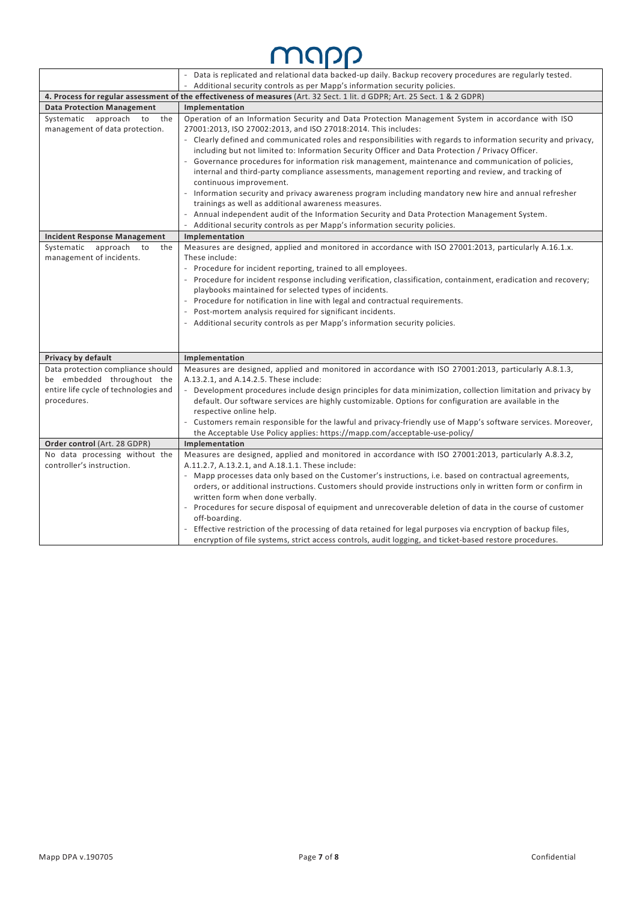### MUUD

|                                                                                                                            | - Data is replicated and relational data backed-up daily. Backup recovery procedures are regularly tested.                                                                                                                                          |  |  |  |
|----------------------------------------------------------------------------------------------------------------------------|-----------------------------------------------------------------------------------------------------------------------------------------------------------------------------------------------------------------------------------------------------|--|--|--|
|                                                                                                                            | Additional security controls as per Mapp's information security policies.                                                                                                                                                                           |  |  |  |
| 4. Process for regular assessment of the effectiveness of measures (Art. 32 Sect. 1 lit. d GDPR; Art. 25 Sect. 1 & 2 GDPR) |                                                                                                                                                                                                                                                     |  |  |  |
| <b>Data Protection Management</b>                                                                                          | Implementation                                                                                                                                                                                                                                      |  |  |  |
| Systematic approach to the<br>management of data protection.                                                               | Operation of an Information Security and Data Protection Management System in accordance with ISO<br>27001:2013, ISO 27002:2013, and ISO 27018:2014. This includes:                                                                                 |  |  |  |
|                                                                                                                            | - Clearly defined and communicated roles and responsibilities with regards to information security and privacy,<br>including but not limited to: Information Security Officer and Data Protection / Privacy Officer.                                |  |  |  |
|                                                                                                                            | - Governance procedures for information risk management, maintenance and communication of policies,<br>internal and third-party compliance assessments, management reporting and review, and tracking of<br>continuous improvement.                 |  |  |  |
|                                                                                                                            | - Information security and privacy awareness program including mandatory new hire and annual refresher<br>trainings as well as additional awareness measures.                                                                                       |  |  |  |
|                                                                                                                            | Annual independent audit of the Information Security and Data Protection Management System.<br>Additional security controls as per Mapp's information security policies.                                                                            |  |  |  |
| <b>Incident Response Management</b>                                                                                        | Implementation                                                                                                                                                                                                                                      |  |  |  |
| Systematic<br>approach<br>to<br>the<br>management of incidents.                                                            | Measures are designed, applied and monitored in accordance with ISO 27001:2013, particularly A.16.1.x.<br>These include:<br>- Procedure for incident reporting, trained to all employees.                                                           |  |  |  |
|                                                                                                                            | - Procedure for incident response including verification, classification, containment, eradication and recovery;<br>playbooks maintained for selected types of incidents.                                                                           |  |  |  |
|                                                                                                                            | - Procedure for notification in line with legal and contractual requirements.                                                                                                                                                                       |  |  |  |
|                                                                                                                            | - Post-mortem analysis required for significant incidents.                                                                                                                                                                                          |  |  |  |
|                                                                                                                            | - Additional security controls as per Mapp's information security policies.                                                                                                                                                                         |  |  |  |
|                                                                                                                            |                                                                                                                                                                                                                                                     |  |  |  |
| Privacy by default                                                                                                         | Implementation                                                                                                                                                                                                                                      |  |  |  |
| Data protection compliance should<br>be embedded throughout the                                                            | Measures are designed, applied and monitored in accordance with ISO 27001:2013, particularly A.8.1.3,<br>A.13.2.1, and A.14.2.5. These include:                                                                                                     |  |  |  |
| entire life cycle of technologies and<br>procedures.                                                                       | - Development procedures include design principles for data minimization, collection limitation and privacy by<br>default. Our software services are highly customizable. Options for configuration are available in the<br>respective online help. |  |  |  |
|                                                                                                                            | - Customers remain responsible for the lawful and privacy-friendly use of Mapp's software services. Moreover,<br>the Acceptable Use Policy applies: https://mapp.com/acceptable-use-policy/                                                         |  |  |  |
| Order control (Art. 28 GDPR)                                                                                               | Implementation                                                                                                                                                                                                                                      |  |  |  |
| No data processing without the                                                                                             | Measures are designed, applied and monitored in accordance with ISO 27001:2013, particularly A.8.3.2,                                                                                                                                               |  |  |  |
| controller's instruction.                                                                                                  | A.11.2.7, A.13.2.1, and A.18.1.1. These include:                                                                                                                                                                                                    |  |  |  |
|                                                                                                                            | - Mapp processes data only based on the Customer's instructions, i.e. based on contractual agreements,                                                                                                                                              |  |  |  |
|                                                                                                                            | orders, or additional instructions. Customers should provide instructions only in written form or confirm in                                                                                                                                        |  |  |  |
|                                                                                                                            | written form when done verbally.                                                                                                                                                                                                                    |  |  |  |
|                                                                                                                            | Procedures for secure disposal of equipment and unrecoverable deletion of data in the course of customer<br>off-boarding.                                                                                                                           |  |  |  |
|                                                                                                                            | Effective restriction of the processing of data retained for legal purposes via encryption of backup files,                                                                                                                                         |  |  |  |
|                                                                                                                            | encryption of file systems, strict access controls, audit logging, and ticket-based restore procedures.                                                                                                                                             |  |  |  |